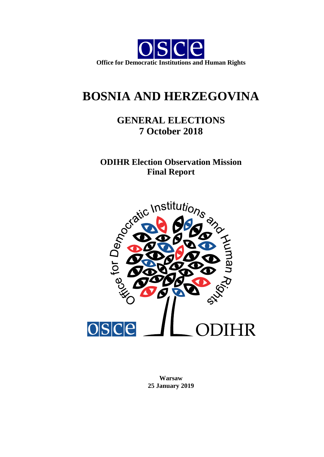

# **BOSNIA AND HERZEGOVINA**

# **GENERAL ELECTIONS 7 October 2018**

**ODIHR Election Observation Mission**



**Warsaw 25 January 2019**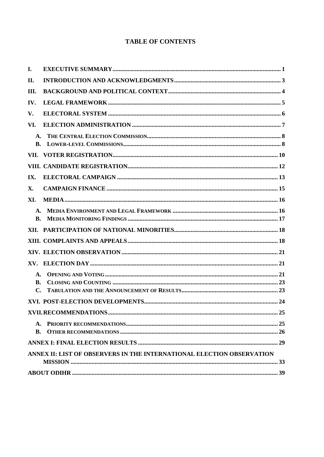## **TABLE OF CONTENTS**

| I.                          |                                                                       |  |
|-----------------------------|-----------------------------------------------------------------------|--|
| П.                          |                                                                       |  |
| Ш.                          |                                                                       |  |
| IV.                         |                                                                       |  |
| V.                          |                                                                       |  |
| VI.                         |                                                                       |  |
| A.<br>B.                    |                                                                       |  |
|                             |                                                                       |  |
|                             |                                                                       |  |
| IX.                         |                                                                       |  |
| X.                          |                                                                       |  |
| XI.                         |                                                                       |  |
| A.<br>B.                    |                                                                       |  |
|                             |                                                                       |  |
|                             |                                                                       |  |
|                             |                                                                       |  |
|                             |                                                                       |  |
| $\mathbf{A}$                |                                                                       |  |
| <b>B.</b><br>$\mathbf{C}$ . |                                                                       |  |
|                             |                                                                       |  |
|                             |                                                                       |  |
| A.                          |                                                                       |  |
| <b>B.</b>                   |                                                                       |  |
|                             |                                                                       |  |
|                             | ANNEX II: LIST OF OBSERVERS IN THE INTERNATIONAL ELECTION OBSERVATION |  |
|                             |                                                                       |  |
|                             |                                                                       |  |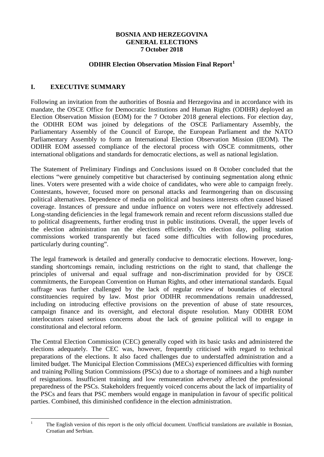#### **BOSNIA AND HERZEGOVINA GENERAL ELECTIONS 7 October 2018**

#### **ODIHR Election Observation Mission Final Report[1](#page-2-1)**

## <span id="page-2-0"></span>**I. EXECUTIVE SUMMARY**

Following an invitation from the authorities of Bosnia and Herzegovina and in accordance with its mandate, the OSCE Office for Democratic Institutions and Human Rights (ODIHR) deployed an Election Observation Mission (EOM) for the 7 October 2018 general elections. For election day, the ODIHR EOM was joined by delegations of the OSCE Parliamentary Assembly, the Parliamentary Assembly of the Council of Europe, the European Parliament and the NATO Parliamentary Assembly to form an International Election Observation Mission (IEOM). The ODIHR EOM assessed compliance of the electoral process with OSCE commitments, other international obligations and standards for democratic elections, as well as national legislation.

The Statement of Preliminary Findings and Conclusions issued on 8 October concluded that the elections "were genuinely competitive but characterised by continuing segmentation along ethnic lines. Voters were presented with a wide choice of candidates, who were able to campaign freely. Contestants, however, focused more on personal attacks and fearmongering than on discussing political alternatives. Dependence of media on political and business interests often caused biased coverage. Instances of pressure and undue influence on voters were not effectively addressed. Long-standing deficiencies in the legal framework remain and recent reform discussions stalled due to political disagreements, further eroding trust in public institutions. Overall, the upper levels of the election administration ran the elections efficiently. On election day, polling station commissions worked transparently but faced some difficulties with following procedures, particularly during counting".

The legal framework is detailed and generally conducive to democratic elections. However, longstanding shortcomings remain, including restrictions on the right to stand, that challenge the principles of universal and equal suffrage and non-discrimination provided for by OSCE commitments, the European Convention on Human Rights, and other international standards. Equal suffrage was further challenged by the lack of regular review of boundaries of electoral constituencies required by law. Most prior ODIHR recommendations remain unaddressed, including on introducing effective provisions on the prevention of abuse of state resources, campaign finance and its oversight, and electoral dispute resolution. Many ODIHR EOM interlocutors raised serious concerns about the lack of genuine political will to engage in constitutional and electoral reform.

The Central Election Commission (CEC) generally coped with its basic tasks and administered the elections adequately. The CEC was, however, frequently criticised with regard to technical preparations of the elections. It also faced challenges due to understaffed administration and a limited budget. The Municipal Election Commissions (MECs) experienced difficulties with forming and training Polling Station Commissions (PSCs) due to a shortage of nominees and a high number of resignations. Insufficient training and low remuneration adversely affected the professional preparedness of the PSCs. Stakeholders frequently voiced concerns about the lack of impartiality of the PSCs and fears that PSC members would engage in manipulation in favour of specific political parties. Combined, this diminished confidence in the election administration.

<span id="page-2-1"></span>

<sup>&</sup>lt;sup>1</sup> The English version of this report is the only official document. Unofficial translations are available in Bosnian, Croatian and Serbian.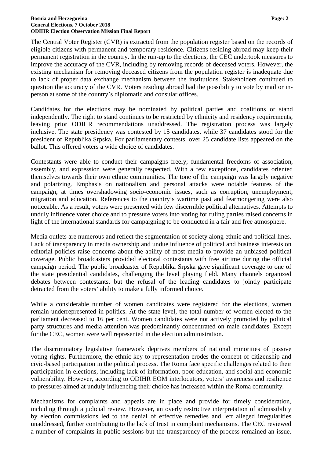The Central Voter Register (CVR) is extracted from the population register based on the records of eligible citizens with permanent and temporary residence. Citizens residing abroad may keep their permanent registration in the country. In the run-up to the elections, the CEC undertook measures to improve the accuracy of the CVR, including by removing records of deceased voters. However, the existing mechanism for removing deceased citizens from the population register is inadequate due to lack of proper data exchange mechanism between the institutions. Stakeholders continued to question the accuracy of the CVR. Voters residing abroad had the possibility to vote by mail or inperson at some of the country's diplomatic and consular offices.

Candidates for the elections may be nominated by political parties and coalitions or stand independently. The right to stand continues to be restricted by ethnicity and residency requirements, leaving prior ODIHR recommendations unaddressed. The registration process was largely inclusive. The state presidency was contested by 15 candidates, while 37 candidates stood for the president of Republika Srpska. For parliamentary contests, over 25 candidate lists appeared on the ballot. This offered voters a wide choice of candidates.

Contestants were able to conduct their campaigns freely; fundamental freedoms of association, assembly, and expression were generally respected. With a few exceptions, candidates oriented themselves towards their own ethnic communities. The tone of the campaign was largely negative and polarizing. Emphasis on nationalism and personal attacks were notable features of the campaign, at times overshadowing socio-economic issues, such as corruption, unemployment, migration and education. References to the country's wartime past and fearmongering were also noticeable. As a result, voters were presented with few discernible political alternatives. Attempts to unduly influence voter choice and to pressure voters into voting for ruling parties raised concerns in light of the international standards for campaigning to be conducted in a fair and free atmosphere.

Media outlets are numerous and reflect the segmentation of society along ethnic and political lines. Lack of transparency in media ownership and undue influence of political and business interests on editorial policies raise concerns about the ability of most media to provide an unbiased political coverage. Public broadcasters provided electoral contestants with free airtime during the official campaign period. The public broadcaster of Republika Srpska gave significant coverage to one of the state presidential candidates, challenging the level playing field. Many channels organized debates between contestants, but the refusal of the leading candidates to jointly participate detracted from the voters' ability to make a fully informed choice.

While a considerable number of women candidates were registered for the elections, women remain underrepresented in politics. At the state level, the total number of women elected to the parliament decreased to 16 per cent. Women candidates were not actively promoted by political party structures and media attention was predominantly concentrated on male candidates. Except for the CEC, women were well represented in the election administration.

The discriminatory legislative framework deprives members of national minorities of passive voting rights. Furthermore, the ethnic key to representation erodes the concept of citizenship and civic-based participation in the political process. The Roma face specific challenges related to their participation in elections, including lack of information, poor education, and social and economic vulnerability. However, according to ODIHR EOM interlocutors, voters' awareness and resilience to pressures aimed at unduly influencing their choice has increased within the Roma community.

Mechanisms for complaints and appeals are in place and provide for timely consideration, including through a judicial review. However, an overly restrictive interpretation of admissibility by election commissions led to the denial of effective remedies and left alleged irregularities unaddressed, further contributing to the lack of trust in complaint mechanisms. The CEC reviewed a number of complaints in public sessions but the transparency of the process remained an issue.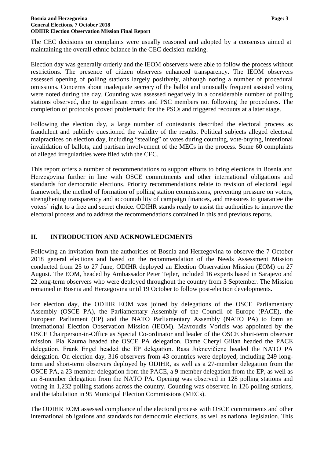The CEC decisions on complaints were usually reasoned and adopted by a consensus aimed at maintaining the overall ethnic balance in the CEC decision-making.

Election day was generally orderly and the IEOM observers were able to follow the process without restrictions. The presence of citizen observers enhanced transparency. The IEOM observers assessed opening of polling stations largely positively, although noting a number of procedural omissions. Concerns about inadequate secrecy of the ballot and unusually frequent assisted voting were noted during the day. Counting was assessed negatively in a considerable number of polling stations observed, due to significant errors and PSC members not following the procedures. The completion of protocols proved problematic for the PSCs and triggered recounts at a later stage.

Following the election day, a large number of contestants described the electoral process as fraudulent and publicly questioned the validity of the results. Political subjects alleged electoral malpractices on election day, including "stealing" of votes during counting, vote-buying, intentional invalidation of ballots, and partisan involvement of the MECs in the process. Some 60 complaints of alleged irregularities were filed with the CEC.

This report offers a number of recommendations to support efforts to bring elections in Bosnia and Herzegovina further in line with OSCE commitments and other international obligations and standards for democratic elections. Priority recommendations relate to revision of electoral legal framework, the method of formation of polling station commissions, preventing pressure on voters, strengthening transparency and accountability of campaign finances, and measures to guarantee the voters' right to a free and secret choice. ODIHR stands ready to assist the authorities to improve the electoral process and to address the recommendations contained in this and previous reports.

## <span id="page-4-0"></span>**II. INTRODUCTION AND ACKNOWLEDGMENTS**

Following an invitation from the authorities of Bosnia and Herzegovina to observe the 7 October 2018 general elections and based on the recommendation of the Needs Assessment Mission conducted from 25 to 27 June, ODIHR deployed an Election Observation Mission (EOM) on 27 August. The EOM, headed by Ambassador Peter Tejler, included 16 experts based in Sarajevo and 22 long-term observers who were deployed throughout the country from 3 September. The Mission remained in Bosnia and Herzegovina until 19 October to follow post-election developments.

For election day, the ODIHR EOM was joined by delegations of the OSCE Parliamentary Assembly (OSCE PA), the Parliamentary Assembly of the Council of Europe (PACE), the European Parliament (EP) and the NATO Parliamentary Assembly (NATO PA) to form an International Election Observation Mission (IEOM). Mavroudis Voridis was appointed by the OSCE Chairperson-in-Office as Special Co-ordinator and leader of the OSCE short-term observer mission. Pia Kauma headed the OSCE PA delegation. Dame Cheryl Gillan headed the PACE delegation. Frank Engel headed the EP delegation. Rasa Juknevičienė headed the NATO PA delegation. On election day, 316 observers from 43 countries were deployed, including 249 longterm and short-term observers deployed by ODIHR, as well as a 27-member delegation from the OSCE PA, a 23-member delegation from the PACE, a 9-member delegation from the EP, as well as an 8-member delegation from the NATO PA. Opening was observed in 128 polling stations and voting in 1,232 polling stations across the country. Counting was observed in 126 polling stations, and the tabulation in 95 Municipal Election Commissions (MECs).

The ODIHR EOM assessed compliance of the electoral process with OSCE commitments and other international obligations and standards for democratic elections, as well as national legislation. This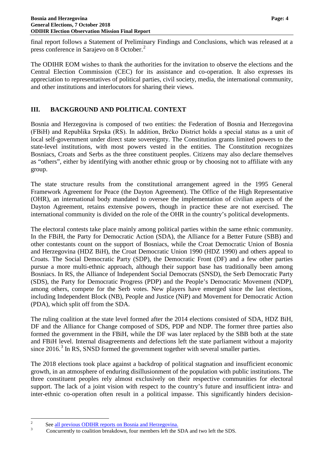final report follows a Statement of Preliminary Findings and Conclusions, which was released at a press conference in Sarajevo on 8 October.<sup>[2](#page-5-1)</sup>

The ODIHR EOM wishes to thank the authorities for the invitation to observe the elections and the Central Election Commission (CEC) for its assistance and co-operation. It also expresses its appreciation to representatives of political parties, civil society, media, the international community, and other institutions and interlocutors for sharing their views.

## <span id="page-5-0"></span>**III. BACKGROUND AND POLITICAL CONTEXT**

Bosnia and Herzegovina is composed of two entities: the Federation of Bosnia and Herzegovina (FBiH) and Republika Srpska (RS). In addition, Brčko District holds a special status as a unit of local self-government under direct state sovereignty. The Constitution grants limited powers to the state-level institutions, with most powers vested in the entities. The Constitution recognizes Bosniacs, Croats and Serbs as the three constituent peoples. Citizens may also declare themselves as "others", either by identifying with another ethnic group or by choosing not to affiliate with any group.

The state structure results from the constitutional arrangement agreed in the 1995 General Framework Agreement for Peace (the Dayton Agreement). The Office of the High Representative (OHR), an international body mandated to oversee the implementation of civilian aspects of the Dayton Agreement, retains extensive powers, though in practice these are not exercised. The international community is divided on the role of the OHR in the country's political developments.

The electoral contests take place mainly among political parties within the same ethnic community. In the FBiH, the Party for Democratic Action (SDA), the Alliance for a Better Future (SBB) and other contestants count on the support of Bosniacs, while the Croat Democratic Union of Bosnia and Herzegovina (HDZ BiH), the Croat Democratic Union 1990 (HDZ 1990) and others appeal to Croats. The Social Democratic Party (SDP), the Democratic Front (DF) and a few other parties pursue a more multi-ethnic approach, although their support base has traditionally been among Bosniacs. In RS, the Alliance of Independent Social Democrats (SNSD), the Serb Democratic Party (SDS), the Party for Democratic Progress (PDP) and the People's Democratic Movement (NDP), among others, compete for the Serb votes. New players have emerged since the last elections, including Independent Block (NB), People and Justice (NiP) and Movement for Democratic Action (PDA), which split off from the SDA.

The ruling coalition at the state level formed after the 2014 elections consisted of SDA, HDZ BiH, DF and the Alliance for Change composed of SDS, PDP and NDP. The former three parties also formed the government in the FBiH, while the DF was later replaced by the SBB both at the state and FBiH level. Internal disagreements and defections left the state parliament without a majority since  $2016<sup>3</sup>$  $2016<sup>3</sup>$  $2016<sup>3</sup>$  In RS, SNSD formed the government together with several smaller parties.

The 2018 elections took place against a backdrop of political stagnation and insufficient economic growth, in an atmosphere of enduring disillusionment of the population with public institutions. The three constituent peoples rely almost exclusively on their respective communities for electoral support. The lack of a joint vision with respect to the country's future and insufficient intra- and inter-ethnic co-operation often result in a political impasse. This significantly hinders decision-

<span id="page-5-2"></span><span id="page-5-1"></span>

<sup>&</sup>lt;sup>2</sup> See <u>all previous ODIHR reports on Bosnia and Herzegovina.</u><br><sup>3</sup> Concurrently to coalition breakdown, four members left the SDA and two left the SDS.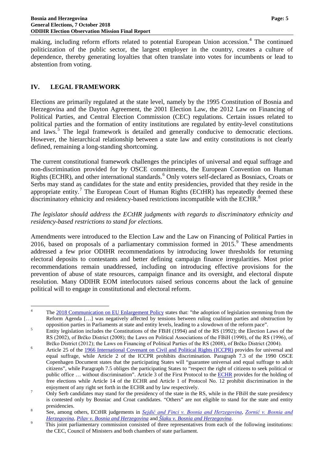making, including reform efforts related to potential European Union accession.<sup>[4](#page-6-1)</sup> The continued politicization of the public sector, the largest employer in the country, creates a culture of dependence, thereby generating loyalties that often translate into votes for incumbents or lead to abstention from voting.

## <span id="page-6-0"></span>**IV. LEGAL FRAMEWORK**

Elections are primarily regulated at the state level, namely by the 1995 Constitution of Bosnia and Herzegovina and the Dayton Agreement, the 2001 Election Law, the 2012 Law on Financing of Political Parties, and Central Election Commission (CEC) regulations. Certain issues related to political parties and the formation of entity institutions are regulated by entity-level constitutions and laws.<sup>[5](#page-6-2)</sup> The legal framework is detailed and generally conducive to democratic elections. However, the hierarchical relationship between a state law and entity constitutions is not clearly defined, remaining a long-standing shortcoming.

The current constitutional framework challenges the principles of universal and equal suffrage and non-discrimination provided for by OSCE commitments, the European Convention on Human Rights (ECHR), and other international standards.<sup>[6](#page-6-3)</sup> Only voters self-declared as Bosniacs, Croats or Serbs may stand as candidates for the state and entity presidencies, provided that they reside in the appropriate entity.<sup>[7](#page-6-4)</sup> The European Court of Human Rights (ECtHR) has repeatedly deemed these discriminatory ethnicity and residency-based restrictions incompatible with the ECHR.<sup>[8](#page-6-5)</sup>

#### *The legislator should address the ECtHR judgments with regards to discriminatory ethnicity and residency-based restrictions to stand for elections.*

Amendments were introduced to the Election Law and the Law on Financing of Political Parties in 2016, based on proposals of a parliamentary commission formed in  $2015$ <sup>[9](#page-6-6)</sup>. These amendments addressed a few prior ODIHR recommendations by introducing lower thresholds for returning electoral deposits to contestants and better defining campaign finance irregularities. Most prior recommendations remain unaddressed, including on introducing effective provisions for the prevention of abuse of state resources, campaign finance and its oversight, and electoral dispute resolution. Many ODIHR EOM interlocutors raised serious concerns about the lack of genuine political will to engage in constitutional and electoral reform.

<span id="page-6-1"></span><sup>&</sup>lt;sup>4</sup> The [2018 Communication on EU Enlargement Policy](https://ec.europa.eu/neighbourhood-enlargement/sites/near/files/20180417-bosnia-and-herzegovina-report.pdf) states that: "the adoption of legislation stemming from the Reform Agenda [...] was negatively affected by tensions between ruling coalition parties and obstruction by opposition parties in Parliaments at state and entity levels, leading to a slowdown of the reform pace".

<span id="page-6-2"></span><sup>&</sup>lt;sup>5</sup><br><sup>5</sup> Entity legislation includes the Constitutions of the FBiH (1994) and of the RS (1992); the Election Laws of the RS (2002), of Brčko District (2008); the Laws on Political Associations of the FBiH (1990), of the RS (1996), of

<span id="page-6-3"></span>Brčko District (2012); the Laws on Financing of Political Parties of the RS (2008), of Brčko District (2004).<br>
6 Article 25 of the [1966 International Covenant on Civil and Political Rights \(ICCPR\)](https://www.ohchr.org/en/professionalinterest/pages/ccpr.aspx) provides for universal an equal suffrage, while Article 2 of the ICCPR prohibits discrimination. Paragraph 7.3 of the 1990 OSCE Copenhagen Document states that the participating States will "guarantee universal and equal suffrage to adult citizens", while Paragraph 7.5 obliges the participating States to "respect the right of citizens to seek political or public office ... without discrimination". Article 3 of the First Protocol to the **ECHR** provides for the holding of free elections while Article 14 of the ECHR and Article 1 of Protocol No. 12 prohibit discrimination in the

<span id="page-6-4"></span>enjoyment of any right set forth in the ECHR and by law respectively.<br><sup>7</sup> Only Serb candidates may stand for the presidency of the state in the RS, while in the FBiH the state presidency is contested only by Bosniac and Croat candidates. "Others" are not eligible to stand for the state and entity

<span id="page-6-5"></span>presidencies.<br>
8 See, among others, ECtHR judgements in *[Sejdić and Finci v. Bosnia and Herzegovina](http://hudoc.echr.coe.int/sites/eng/pages/search.aspx?i=001-96491)*, *Zornić v. Bosnia and Herzegovina*, *Pilav v. Bosnia and Herzegovina*, *Alaxy and Herzegovina*, *Pilav v. Bosnia and H* 

<span id="page-6-6"></span><sup>&</sup>lt;sup>9</sup> This joint parliamentary commission consisted of three representatives from each of the following institutions: the CEC, Council of Ministers and both chambers of state parliament.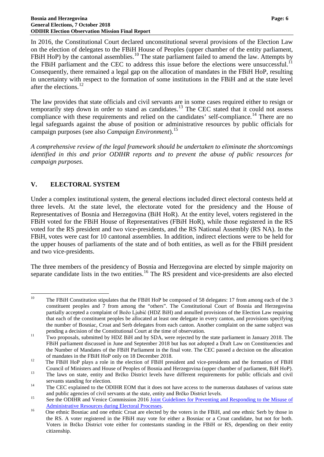In 2016, the Constitutional Court declared unconstitutional several provisions of the Election Law on the election of delegates to the FBiH House of Peoples (upper chamber of the entity parliament, FBiH HoP) by the cantonal assemblies.<sup>[10](#page-7-1)</sup> The state parliament failed to amend the law. Attempts by the FBiH parliament and the CEC to address this issue before the elections were unsuccessful.<sup>[11](#page-7-2)</sup> Consequently, there remained a legal gap on the allocation of mandates in the FBiH HoP, resulting in uncertainty with respect to the formation of some institutions in the FBiH and at the state level after the elections.<sup>[12](#page-7-3)</sup>

The law provides that state officials and civil servants are in some cases required either to resign or temporarily step down in order to stand as candidates.<sup>[13](#page-7-4)</sup> The CEC stated that it could not assess compliance with these requirements and relied on the candidates' self-compliance.<sup>[14](#page-7-5)</sup> There are no legal safeguards against the abuse of position or administrative resources by public officials for campaign purposes (see also *Campaign Environment*). [15](#page-7-6)

*A comprehensive review of the legal framework should be undertaken to eliminate the shortcomings identified in this and prior ODIHR reports and to prevent the abuse of public resources for campaign purposes.*

## <span id="page-7-0"></span>**V. ELECTORAL SYSTEM**

Under a complex institutional system, the general elections included direct electoral contests held at three levels. At the state level, the electorate voted for the presidency and the House of Representatives of Bosnia and Herzegovina (BiH HoR). At the entity level, voters registered in the FBiH voted for the FBiH House of Representatives (FBiH HoR), while those registered in the RS voted for the RS president and two vice-presidents, and the RS National Assembly (RS NA). In the FBiH, votes were cast for 10 cantonal assemblies. In addition, indirect elections were to be held for the upper houses of parliaments of the state and of both entities, as well as for the FBiH president and two vice-presidents.

The three members of the presidency of Bosnia and Herzegovina are elected by simple majority on separate candidate lists in the two entities.<sup>[16](#page-7-7)</sup> The RS president and vice-presidents are also elected

<span id="page-7-1"></span><sup>&</sup>lt;sup>10</sup> The FBiH Constitution stipulates that the FBiH HoP be composed of 58 delegates: 17 from among each of the 3 constituent peoples and 7 from among the "others". The Constitutional Court of Bosnia and Herzegovina partially accepted a complaint of Božo Ljubić (HDZ BiH) and annulled provisions of the Election Law requiring that each of the constituent peoples be allocated at least one delegate in every canton, and provisions specifying the number of Bosniac, Croat and Serb delegates from each canton. Another complaint on the same subject was

<span id="page-7-2"></span>pending a decision of the Constitutional Court at the time of observation.<br><sup>11</sup> Two proposals, submitted by HDZ BiH and by SDA, were rejected by the state parliament in January 2018. The FBiH parliament discussed in June and September 2018 but has not adopted a Draft Law on Constituencies and the Number of Mandates of the FBiH Parliament in the final vote. The CEC passed a decision on the allocation

<span id="page-7-3"></span>of mandates in the FBiH HoP only on 18 December 2018.<br><sup>12</sup> The FBiH HoP plays a role in the election of FBiH president and vice-presidents and the formation of FBiH

<span id="page-7-4"></span>Council of Ministers and House of Peoples of Bosnia and Herzegovina (upper chamber of parliament, BiH HoP).<br><sup>13</sup> The laws on state, entity and Brčko District levels have different requirements for public officials and civi

<span id="page-7-5"></span>servants standing for election.<br><sup>14</sup> The CEC explained to the ODIHR EOM that it does not have access to the numerous databases of various state

<span id="page-7-6"></span>and public agencies of civil servants at the state, entity and Brčko District levels.<br>
<sup>15</sup> See the ODIHR and Venice Commission 2016 Joint Guidelines for Preventing and Responding to the Misuse of

<span id="page-7-7"></span>[Administrative Resources during Electoral Processes.](https://www.osce.org/odihr/elections/227506?download=true)<br><sup>16</sup> One ethnic Bosniac and one ethnic Croat are elected by the voters in the FBiH, and one ethnic Serb by those in the RS. A voter registered in the FBiH may vote for either a Bosniac or a Croat candidate, but not for both. Voters in Brčko District vote either for contestants standing in the FBiH or RS, depending on their entity citizenship.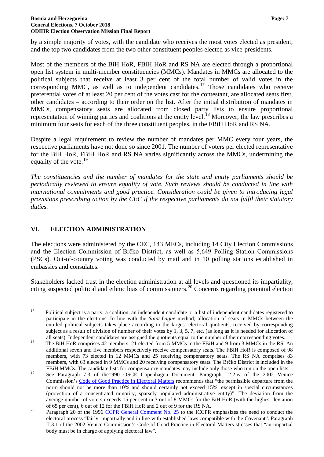by a simple majority of votes, with the candidate who receives the most votes elected as president, and the top two candidates from the two other constituent peoples elected as vice-presidents.

Most of the members of the BiH HoR, FBiH HoR and RS NA are elected through a proportional open list system in multi-member constituencies (MMCs). Mandates in MMCs are allocated to the political subjects that receive at least 3 per cent of the total number of valid votes in the corresponding MMC, as well as to independent candidates.<sup>[17](#page-8-1)</sup> Those candidates who receive preferential votes of at least 20 per cent of the votes cast for the contestant, are allocated seats first, other candidates – according to their order on the list. After the initial distribution of mandates in MMCs, compensatory seats are allocated from closed party lists to ensure proportional representation of winning parties and coalitions at the entity level.<sup>[18](#page-8-2)</sup> Moreover, the law prescribes a minimum four seats for each of the three constituent peoples, in the FBiH HoR and RS NA.

Despite a legal requirement to review the number of mandates per MMC every four years, the respective parliaments have not done so since 2001. The number of voters per elected representative for the BiH HoR, FBiH HoR and RS NA varies significantly across the MMCs, undermining the equality of the vote. $^{19}$  $^{19}$  $^{19}$ 

*The constituencies and the number of mandates for the state and entity parliaments should be periodically reviewed to ensure equality of vote. Such reviews should be conducted in line with international commitments and good practice. Consideration could be given to introducing legal provisions prescribing action by the CEC if the respective parliaments do not fulfil their statutory duties.*

## <span id="page-8-0"></span>**VI. ELECTION ADMINISTRATION**

The elections were administered by the CEC, 143 MECs, including 14 City Election Commissions and the Election Commission of Brčko District, as well as 5,649 Polling Station Commissions (PSCs). Out-of-country voting was conducted by mail and in 10 polling stations established in embassies and consulates.

Stakeholders lacked trust in the election administration at all levels and questioned its impartiality, citing suspected political and ethnic bias of commissioners.[20](#page-8-4) Concerns regarding potential election

<span id="page-8-1"></span> $17$  Political subject is a party, a coalition, an independent candidate or a list of independent candidates registered to participate in the elections. In line with the *Saint-Lague* method, allocation of seats in MMCs between the entitled political subjects takes place according to the largest electoral quotients, received by corresponding subject as a result of division of number of their votes by 1, 3, 5, 7, etc. (as long as it is needed for allocation of

<span id="page-8-2"></span>all seats). Independent candidates are assigned the quotients equal to the number of their corresponding votes.<br><sup>18</sup> The BiH HoR comprises 42 members: 21 elected from 5 MMCs in the FBiH and 9 from 3 MMCs in the RS. An additional seven and five members respectively receive compensatory seats. The FBiH HoR is composed of 98 members, with 73 elected in 12 MMCs and 25 receiving compensatory seats. The RS NA comprises 83 members, with 63 elected in 9 MMCs and 20 receiving compensatory seats. The Brčko District is included in the FBiH MMCs. The candidate lists for compensatory mandates may include only those who run on the open lists.

<span id="page-8-3"></span><sup>&</sup>lt;sup>19</sup> See Paragraph 7.3 of the 1990 OSCE Copenhagen Document. Paragraph I.2.2.iv of the 2002 Venice Commission's [Code of Good Practice in Electoral Matters](https://www.venice.coe.int/webforms/documents/CDL-AD(2002)023rev-e.aspx) recommends that "the permissible departure from the norm should not be more than 10% and should certainly not exceed 15%, except in special circumstances (protection of a concentrated minority, sparsely populated administrative entity)". The deviation from the average number of voters exceeds 15 per cent in 3 out of 8 MMCs for the BiH HoR (with the highest deviation

<span id="page-8-4"></span>of 65 per cent), 6 out of 12 for the FBiH HoR and 2 out of 9 for the RS NA.<br><sup>20</sup> Paragraph 20 of the 1996 [CCPR General Comment No. 25](https://tbinternet.ohchr.org/_layouts/treatybodyexternal/Download.aspx?symbolno=CCPR%2fC%2f21%2fRev.1%2fAdd.7&Lang=en) to the ICCPR emphasizes the need to conduct the electoral process "fairly, impartially and in line with established laws compatible with the Covenant". Paragraph II.3.1 of the 2002 Venice Commission's Code of Good Practice in Electoral Matters stresses that "an impartial body must be in charge of applying electoral law".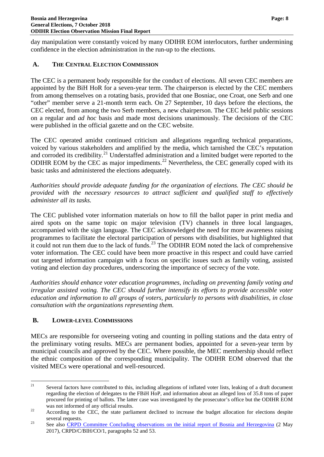day manipulation were constantly voiced by many ODIHR EOM interlocutors, further undermining confidence in the election administration in the run-up to the elections.

## <span id="page-9-0"></span>**A. THE CENTRAL ELECTION COMMISSION**

The CEC is a permanent body responsible for the conduct of elections. All seven CEC members are appointed by the BiH HoR for a seven-year term. The chairperson is elected by the CEC members from among themselves on a rotating basis, provided that one Bosniac, one Croat, one Serb and one "other" member serve a 21-month term each. On 27 September, 10 days before the elections, the CEC elected, from among the two Serb members, a new chairperson. The CEC held public sessions on a regular and *ad hoc* basis and made most decisions unanimously. The decisions of the CEC were published in the official gazette and on the CEC website.

The CEC operated amidst continued criticism and allegations regarding technical preparations, voiced by various stakeholders and amplified by the media, which tarnished the CEC's reputation and corroded its credibility.<sup>[21](#page-9-2)</sup> Understaffed administration and a limited budget were reported to the ODIHR EOM by the CEC as major impediments.<sup>[22](#page-9-3)</sup> Nevertheless, the CEC generally coped with its basic tasks and administered the elections adequately.

*Authorities should provide adequate funding for the organization of elections. The CEC should be provided with the necessary resources to attract sufficient and qualified staff to effectively administer all its tasks.*

The CEC published voter information materials on how to fill the ballot paper in print media and aired spots on the same topic on major television (TV) channels in three local languages, accompanied with the sign language. The CEC acknowledged the need for more awareness raising programmes to facilitate the electoral participation of persons with disabilities, but highlighted that it could not run them due to the lack of funds.<sup>[23](#page-9-4)</sup> The ODIHR EOM noted the lack of comprehensive voter information. The CEC could have been more proactive in this respect and could have carried out targeted information campaign with a focus on specific issues such as family voting, assisted voting and election day procedures, underscoring the importance of secrecy of the vote.

*Authorities should enhance voter education programmes, including on preventing family voting and irregular assisted voting. The CEC should further intensify its efforts to provide accessible voter education and information to all groups of voters, particularly to persons with disabilities, in close consultation with the organizations representing them.*

## <span id="page-9-1"></span>**B. LOWER-LEVEL COMMISSIONS**

MECs are responsible for overseeing voting and counting in polling stations and the data entry of the preliminary voting results. MECs are permanent bodies, appointed for a seven-year term by municipal councils and approved by the CEC. Where possible, the MEC membership should reflect the ethnic composition of the corresponding municipality. The ODIHR EOM observed that the visited MECs were operational and well-resourced.

<span id="page-9-2"></span> $21$  Several factors have contributed to this, including allegations of inflated voter lists, leaking of a draft document regarding the election of delegates to the FBiH HoP, and information about an alleged loss of 35.8 tons of paper procured for printing of ballots. The latter case was investigated by the prosecutor's office but the ODIHR EOM

<span id="page-9-3"></span>was not informed of any official results.<br><sup>22</sup> According to the CEC, the state parliament declined to increase the budget allocation for elections despite

<span id="page-9-4"></span>several requests.<br><sup>23</sup> See also [CRPD Committee Concluding observations on the initial report of Bosnia and Herzegovina](https://tbinternet.ohchr.org/_layouts/treatybodyexternal/Download.aspx?symbolno=CRPD%2fC%2fBIH%2fCO%2f1&Lang=en) (2 May 2017), CRPD/C/BIH/CO/1, paragraphs 52 and 53.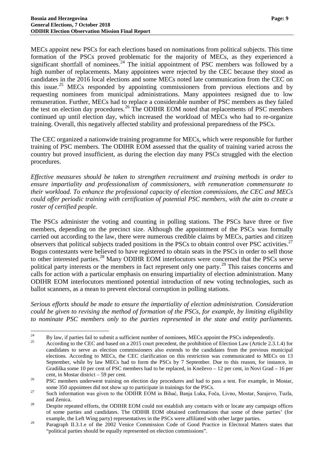MECs appoint new PSCs for each elections based on nominations from political subjects. This time formation of the PSCs proved problematic for the majority of MECs, as they experienced a significant shortfall of nominees.<sup>[24](#page-10-0)</sup> The initial appointment of PSC members was followed by a high number of replacements. Many appointees were rejected by the CEC because they stood as candidates in the 2016 local elections and some MECs noted late communication from the CEC on this issue.<sup>[25](#page-10-1)</sup> MECs responded by appointing commissioners from previous elections and by requesting nominees from municipal administrations. Many appointees resigned due to low remuneration. Further, MECs had to replace a considerable number of PSC members as they failed the test on election day procedures.<sup>[26](#page-10-2)</sup> The ODIHR EOM noted that replacements of PSC members continued up until election day, which increased the workload of MECs who had to re-organize training. Overall, this negatively affected stability and professional preparedness of the PSCs.

The CEC organized a nationwide training programme for MECs, which were responsible for further training of PSC members. The ODIHR EOM assessed that the quality of training varied across the country but proved insufficient, as during the election day many PSCs struggled with the election procedures.

*Effective measures should be taken to strengthen recruitment and training methods in order to ensure impartiality and professionalism of commissioners, with remuneration commensurate to their workload. To enhance the professional capacity of election commissions, the CEC and MECs could offer periodic training with certification of potential PSC members, with the aim to create a roster of certified people.*

The PSCs administer the voting and counting in polling stations. The PSCs have three or five members, depending on the precinct size. Although the appointment of the PSCs was formally carried out according to the law, there were numerous credible claims by MECs, parties and citizen observers that political subjects traded positions in the PSCs to obtain control over PSC activities.<sup>[27](#page-10-3)</sup> Bogus contestants were believed to have registered to obtain seats in the PSCs in order to sell those to other interested parties.<sup>[28](#page-10-4)</sup> Many ODIHR EOM interlocutors were concerned that the PSCs serve political party interests or the members in fact represent only one party.<sup>[29](#page-10-5)</sup> This raises concerns and calls for action with a particular emphasis on ensuring impartiality of election administration. Many ODIHR EOM interlocutors mentioned potential introduction of new voting technologies, such as ballot scanners, as a mean to prevent electoral corruption in polling stations.

*Serious efforts should be made to ensure the impartiality of election administration. Consideration could be given to revising the method of formation of the PSCs, for example, by limiting eligibility to nominate PSC members only to the parties represented in the state and entity parliaments.* 

<span id="page-10-1"></span><span id="page-10-0"></span><sup>&</sup>lt;sup>24</sup> By law, if parties fail to submit a sufficient number of nominees, MECs appoint the PSCs independently.<br>According to the CEC and based on a 2015 court precedent, the prohibition of Election Law (Article 2.3.1.4) for candidates to serve as election commissioners also extends to the candidates from the previous municipal elections. According to MECs, the CEC clarification on this restriction was communicated to MECs on 13 September, while by law MECs had to form the PSCs by 7 September. Due to this reason, for instance, in Gradiška some 10 per cent of PSC members had to be replaced, in Kneževo – 12 per cent, in Novi Grad – 16 per cent, in Mostar district – 59 per cent.<br>PSC members underwent training on election day procedures and had to pass a test. For example, in Mostar,

<span id="page-10-2"></span>some 350 appointees did not show up to participate in trainings for the PSCs.<br><sup>27</sup> Such information was given to the ODIHR EOM in Bihać, Banja Luka, Foča, Livno, Mostar, Sarajevo, Tuzla,

<span id="page-10-4"></span><span id="page-10-3"></span>and Zenica.<br><sup>28</sup> Despite repeated efforts, the ODIHR EOM could not establish any contacts with or locate any campaign offices of some parties and candidates. The ODIHR EOM obtained confirmations that some of these parties' (for example, the Left Wing party) representatives in the PSCs were affiliated with other larger parties.

<span id="page-10-5"></span><sup>&</sup>lt;sup>29</sup> Paragraph II.3.1.e of the 2002 Venice Commission Code of Good Practice in Electoral Matters states that "political parties should be equally represented on election commissions".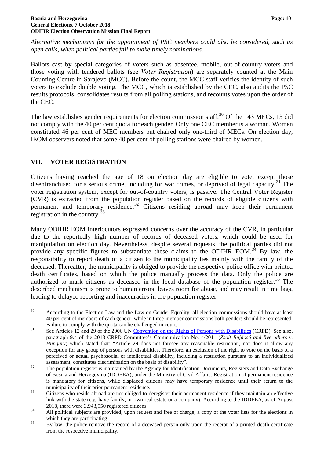*Alternative mechanisms for the appointment of PSC members could also be considered, such as open calls, when political parties fail to make timely nominations.*

Ballots cast by special categories of voters such as absentee, mobile, out-of-country voters and those voting with tendered ballots (see *Voter Registration*) are separately counted at the Main Counting Centre in Sarajevo (MCC). Before the count, the MCC staff verifies the identity of such voters to exclude double voting. The MCC, which is established by the CEC, also audits the PSC results protocols, consolidates results from all polling stations, and recounts votes upon the order of the CEC.

The law establishes gender requirements for election commission staff.<sup>[30](#page-11-1)</sup> Of the 143 MECs, 13 did not comply with the 40 per cent quota for each gender. Only one CEC member is a woman. Women constituted 46 per cent of MEC members but chaired only one-third of MECs. On election day, IEOM observers noted that some 40 per cent of polling stations were chaired by women.

## <span id="page-11-0"></span>**VII. VOTER REGISTRATION**

Citizens having reached the age of 18 on election day are eligible to vote, except those disenfranchised for a serious crime, including for war crimes, or deprived of legal capacity.<sup>[31](#page-11-2)</sup> The voter registration system, except for out-of-country voters, is passive. The Central Voter Register (CVR) is extracted from the population register based on the records of eligible citizens with permanent and temporary residence.[32](#page-11-3) Citizens residing abroad may keep their permanent registration in the country.<sup>[33](#page-11-4)</sup>

Many ODIHR EOM interlocutors expressed concerns over the accuracy of the CVR, in particular due to the reportedly high number of records of deceased voters, which could be used for manipulation on election day. Nevertheless, despite several requests, the political parties did not provide any specific figures to substantiate these claims to the ODIHR EOM.<sup>[34](#page-11-5)</sup> By law, the responsibility to report death of a citizen to the municipality lies mainly with the family of the deceased. Thereafter, the municipality is obliged to provide the respective police office with printed death certificates, based on which the police manually process the data. Only the police are authorized to mark citizens as deceased in the local database of the population register.<sup>[35](#page-11-6)</sup> The described mechanism is prone to human errors, leaves room for abuse, and may result in time lags, leading to delayed reporting and inaccuracies in the population register.

<span id="page-11-1"></span><sup>&</sup>lt;sup>30</sup> According to the Election Law and the Law on Gender Equality, all election commissions should have at least 40 per cent of members of each gender, while in three-member commissions both genders should be represented.

<span id="page-11-2"></span>Failure to comply with the quota can be challenged in court.<br>
<sup>31</sup> See Articles 12 and 29 of the 2006 UN [Convention on the Rights of Persons with Disabilities](https://www.un.org/development/desa/disabilities/convention-on-the-rights-of-persons-with-disabilities/convention-on-the-rights-of-persons-with-disabilities-2.html) (CRPD). See also, paragraph 9.4 of the 2013 CRPD Committee's Communication No. 4/2011 (*Zsolt Bujdosó and five others v. Hungary*) which stated that: "Article 29 does not foresee any reasonable restriction, nor does it allow any exception for any group of persons with disabilities. Therefore, an exclusion of the right to vote on the basis of a perceived or actual psychosocial or intellectual disability, including a restriction pursuant to an individualized

<span id="page-11-3"></span>assessment, constitutes discrimination on the basis of disability".<br><sup>32</sup> The population register is maintained by the Agency for Identification Documents, Registers and Data Exchange of Bosnia and Herzegovina (IDDEEA), under the Ministry of Civil Affairs. Registration of permanent residence is mandatory for citizens, while displaced citizens may have temporary residence until their return to the municipality of their prior permanent residence.<br><sup>33</sup> Citizens who reside abroad are not obliged to deregister their permanent residence if they maintain an effective

<span id="page-11-4"></span>link with the state (e.g. have family, or own real estate or a company). According to the IDDEEA, as of August

<span id="page-11-5"></span><sup>2018,</sup> there were 3,943,950 registered citizens.<br>34 All political subjects are provided, upon request and free of charge, a copy of the voter lists for the elections in

<span id="page-11-6"></span>which they are participating.<br><sup>35</sup> By law, the police remove the record of a deceased person only upon the receipt of a printed death certificate from the respective municipality.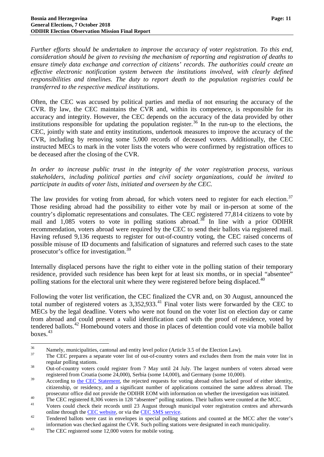*Further efforts should be undertaken to improve the accuracy of voter registration. To this end, consideration should be given to revising the mechanism of reporting and registration of deaths to ensure timely data exchange and correction of citizens' records. The authorities could create an effective electronic notification system between the institutions involved, with clearly defined responsibilities and timelines. The duty to report death to the population registries could be transferred to the respective medical institutions.*

Often, the CEC was accused by political parties and media of not ensuring the accuracy of the CVR. By law, the CEC maintains the CVR and, within its competence, is responsible for its accuracy and integrity. However, the CEC depends on the accuracy of the data provided by other institutions responsible for updating the population register.<sup>[36](#page-12-0)</sup> In the run-up to the elections, the CEC, jointly with state and entity institutions, undertook measures to improve the accuracy of the CVR, including by removing some 5,000 records of deceased voters. Additionally, the CEC instructed MECs to mark in the voter lists the voters who were confirmed by registration offices to be deceased after the closing of the CVR.

*In order to increase public trust in the integrity of the voter registration process, various stakeholders, including political parties and civil society organizations, could be invited to participate in audits of voter lists, initiated and overseen by the CEC.*

The law provides for voting from abroad, for which voters need to register for each election.<sup>[37](#page-12-1)</sup> Those residing abroad had the possibility to either vote by mail or in-person at some of the country's diplomatic representations and consulates. The CEC registered 77,814 citizens to vote by mail and  $1,085$  voters to vote in polling stations abroad.<sup>[38](#page-12-2)</sup> In line with a prior ODIHR recommendation, voters abroad were required by the CEC to send their ballots via registered mail. Having refused 9,136 requests to register for out-of-country voting, the CEC raised concerns of possible misuse of ID documents and falsification of signatures and referred such cases to the state prosecutor's office for investigation.[39](#page-12-3)

Internally displaced persons have the right to either vote in the polling station of their temporary residence, provided such residence has been kept for at least six months, or in special "absentee" polling stations for the electoral unit where they were registered before being displaced.<sup>[40](#page-12-4)</sup>

Following the voter list verification, the CEC finalized the CVR and, on 30 August, announced the total number of registered voters as  $3,352,933$ .<sup>[41](#page-12-5)</sup> Final voter lists were forwarded by the CEC to MECs by the legal deadline. Voters who were not found on the voter list on election day or came from abroad and could present a valid identification card with the proof of residence, voted by tendered ballots.<sup>[42](#page-12-6)</sup> Homebound voters and those in places of detention could vote via mobile ballot boxes. [43](#page-12-7)

<span id="page-12-0"></span> $\frac{36}{37}$  Namely, municipalities, cantonal and entity level police (Article 3.5 of the Election Law).<br>The CEC prepares a separate voter list of out-of-country voters and excludes them from the main voter list in

<span id="page-12-2"></span><span id="page-12-1"></span>regular polling stations.<br><sup>38</sup> Out-of-country voters could register from 7 May until 24 July. The largest numbers of voters abroad were registered from Croatia (some 24,000), Serbia (some 14,000), and Germany (some 10,000).

<span id="page-12-3"></span><sup>&</sup>lt;sup>39</sup> According to [the CEC Statement,](http://izbori.ba/Default.aspx?CategoryID=64&Lang=3&Id=2560) the rejected requests for voting abroad often lacked proof of either identity, citizenship, or residency, and a significant number of applications contained the same address abroad. The prosecutor office did not provide the ODIHR EOM with information on whether the investigation was initiated.<br>The CEC registered 8,306 voters in 128 "absentee" polling stations. Their ballots were counted at the MCC.<br>Voters

<span id="page-12-4"></span>

<span id="page-12-6"></span><span id="page-12-5"></span>online through the <u>CEC website</u>, or via the <u>CEC SMS service</u>.<br><sup>42</sup> Tendered ballots were cast in envelopes in special polling stations and counted at the MCC after the voter's information was checked against the CVR. Such polling stations were designated in each municipality.<br><sup>43</sup> The CEC registered some 12,000 voters for mobile voting.

<span id="page-12-7"></span>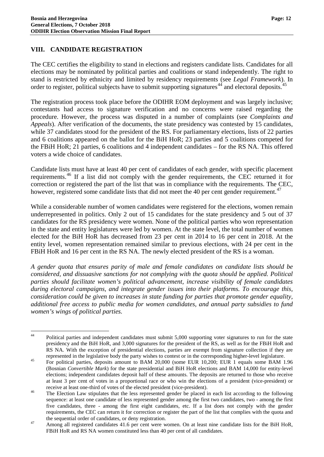## <span id="page-13-0"></span>**VIII. CANDIDATE REGISTRATION**

The CEC certifies the eligibility to stand in elections and registers candidate lists. Candidates for all elections may be nominated by political parties and coalitions or stand independently. The right to stand is restricted by ethnicity and limited by residency requirements (see *Legal Framework*). In order to register, political subjects have to submit supporting signatures<sup>[44](#page-13-1)</sup> and electoral deposits.<sup>[45](#page-13-2)</sup>

The registration process took place before the ODIHR EOM deployment and was largely inclusive; contestants had access to signature verification and no concerns were raised regarding the procedure. However, the process was disputed in a number of complaints (see *Complaints and Appeals*). After verification of the documents, the state presidency was contested by 15 candidates, while 37 candidates stood for the president of the RS. For parliamentary elections, lists of 22 parties and 6 coalitions appeared on the ballot for the BiH HoR; 23 parties and 5 coalitions competed for the FBiH HoR; 21 parties, 6 coalitions and 4 independent candidates – for the RS NA. This offered voters a wide choice of candidates.

Candidate lists must have at least 40 per cent of candidates of each gender, with specific placement requirements.[46](#page-13-3) If a list did not comply with the gender requirements, the CEC returned it for correction or registered the part of the list that was in compliance with the requirements. The CEC, however, registered some candidate lists that did not meet the 40 per cent gender requirement.<sup>[47](#page-13-4)</sup>

While a considerable number of women candidates were registered for the elections, women remain underrepresented in politics. Only 2 out of 15 candidates for the state presidency and 5 out of 37 candidates for the RS presidency were women. None of the political parties who won representation in the state and entity legislatures were led by women. At the state level, the total number of women elected for the BiH HoR has decreased from 23 per cent in 2014 to 16 per cent in 2018. At the entity level, women representation remained similar to previous elections, with 24 per cent in the FBiH HoR and 16 per cent in the RS NA. The newly elected president of the RS is a woman.

*A gender quota that ensures parity of male and female candidates on candidate lists should be considered, and dissuasive sanctions for not complying with the quota should be applied. Political parties should facilitate women's political advancement, increase visibility of female candidates during electoral campaigns, and integrate gender issues into their platforms. To encourage this, consideration could be given to increases in state funding for parties that promote gender equality, additional free access to public media for women candidates, and annual party subsidies to fund women's wings of political parties.*

<span id="page-13-1"></span><sup>&</sup>lt;sup>44</sup> Political parties and independent candidates must submit 5,000 supporting voter signatures to run for the state presidency and the BiH HoR, and 3,000 signatures for the president of the RS, as well as for the FBiH HoR and RS NA. With the exception of presidential elections, parties are exempt from signature collection if they are

<span id="page-13-2"></span>represented in the legislative body the party wishes to contest or in the corresponding higher-level legislature.<br><sup>45</sup> For political parties, deposits amount to BAM 20,000 (some EUR 10,200; EUR 1 equals some BAM 1.96 (Bosnian *Convertible Mark*) for the state presidential and BiH HoR elections and BAM 14,000 for entity-level elections; independent candidates deposit half of these amounts. The deposits are returned to those who receive at least 3 per cent of votes in a proportional race or who win the elections of a president (vice-president) or

<span id="page-13-3"></span>receive at least one-third of votes of the elected president (vice-president).<br><sup>46</sup> The Election Law stipulates that the less represented gender be placed in each list according to the following sequence: at least one candidate of less represented gender among the first two candidates, two - among the first five candidates, three - among the first eight candidates, etc. If a list does not comply with the gender requirements, the CEC can return it for correction or register the part of the list that complies with the quota and

<span id="page-13-4"></span>the sequential order of candidates, or deny registration.<br>Among all registered candidates 41.6 per cent were women. On at least nine candidate lists for the BiH HoR, FBiH HoR and RS NA women constituted less than 40 per cent of all candidates.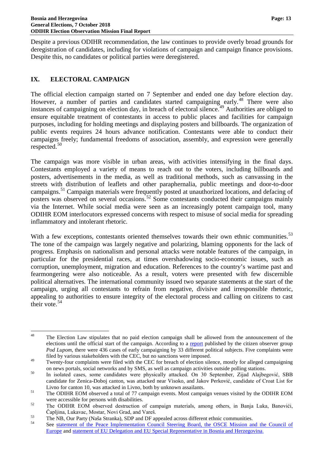Despite a previous ODIHR recommendation, the law continues to provide overly broad grounds for deregistration of candidates, including for violations of campaign and campaign finance provisions. Despite this, no candidates or political parties were deregistered.

## <span id="page-14-0"></span>**IX. ELECTORAL CAMPAIGN**

The official election campaign started on 7 September and ended one day before election day. However, a number of parties and candidates started campaigning early.<sup>[48](#page-14-1)</sup> There were also instances of campaigning on election day, in breach of electoral silence. [49](#page-14-2) Authorities are obliged to ensure equitable treatment of contestants in access to public places and facilities for campaign purposes, including for holding meetings and displaying posters and billboards. The organization of public events requires 24 hours advance notification. Contestants were able to conduct their campaigns freely; fundamental freedoms of association, assembly, and expression were generally respected.[50](#page-14-3)

The campaign was more visible in urban areas, with activities intensifying in the final days. Contestants employed a variety of means to reach out to the voters, including billboards and posters, advertisements in the media, as well as traditional methods, such as canvassing in the streets with distribution of leaflets and other paraphernalia, public meetings and door-to-door campaigns.<sup>[51](#page-14-4)</sup> Campaign materials were frequently posted at unauthorized locations, and defacing of posters was observed on several occasions.<sup>[52](#page-14-5)</sup> Some contestants conducted their campaigns mainly via the Internet. While social media were seen as an increasingly potent campaign tool, many ODIHR EOM interlocutors expressed concerns with respect to misuse of social media for spreading inflammatory and intolerant rhetoric.

With a few exceptions, contestants oriented themselves towards their own ethnic communities.<sup>[53](#page-14-6)</sup> The tone of the campaign was largely negative and polarizing, blaming opponents for the lack of progress. Emphasis on nationalism and personal attacks were notable features of the campaign, in particular for the presidential races, at times overshadowing socio-economic issues, such as corruption, unemployment, migration and education. References to the country's wartime past and fearmongering were also noticeable. As a result, voters were presented with few discernible political alternatives. The international community issued two separate statements at the start of the campaign, urging all contestants to refrain from negative, divisive and irresponsible rhetoric, appealing to authorities to ensure integrity of the electoral process and calling on citizens to cast their vote.  $54$ 

<span id="page-14-1"></span><sup>&</sup>lt;sup>48</sup> The Election Law stipulates that no paid election campaign shall be allowed from the announcement of the elections until the official start of the campaign. According to a [report](http://podlupom.org/v2/bs/dokument/drugi-preliminarni-izvjestaj-o-dugorocnom-posmatranju-izbora-2018-i-posmatranju-izborne-kampanje/276) published by the citizen observer group *Pod Lupom*, there were 436 cases of early campaigning by 33 different political subjects. Five complaints were filed by various stakeholders with the CEC, but no sanctions were imposed.

<span id="page-14-2"></span><sup>&</sup>lt;sup>49</sup> Twenty-four complaints were filed with the CEC for breach of election silence, mostly for alleged campaigning

<span id="page-14-3"></span>on news portals, social networks and by SMS, as well as campaign activities outside polling stations.<br>In isolated cases, some candidates were physically attacked. On 30 September, Zijad Alajbegović, SBB candidate for Zenica-Doboj canton, was attacked near Visoko, and Jakov Perković, candidate of Croat List for Livno for canton 10, was attacked in Livno, both by unknown assailants.<br><sup>51</sup> The ODIHR EOM observed a total of 77 campaign events. Most campaign venues visited by the ODIHR EOM

<span id="page-14-5"></span><span id="page-14-4"></span>were accessible for persons with disabilities.<br><sup>52</sup> The ODIHR EOM observed destruction of campaign materials, among others, in Banja Luka, Banovići,

<span id="page-14-7"></span><span id="page-14-6"></span>

Čapljina, Lukavac, Mostar, Novi Grad, and Vareš.<br>
The NB, Our Party (Naša Stranka), SDP and DF appealed across different ethnic communities.<br>
See statement of the Peace Implementation Council Steering Board, the OSCE Missi [Europe](http://www.ohr.int/?p=99923) and [statement of EU Delegation and EU Special Representative in Bosnia and Herzegovina.](http://europa.ba/?p=58786)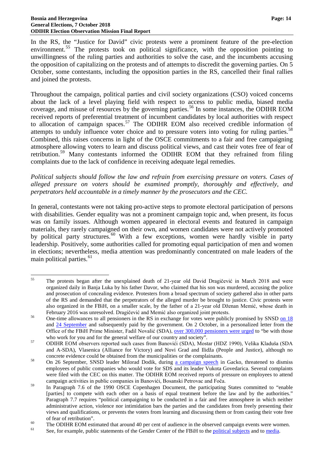In the RS, the "Justice for David" civic protests were a prominent feature of the pre-election environment.<sup>[55](#page-15-0)</sup> The protests took on political significance, with the opposition pointing to unwillingness of the ruling parties and authorities to solve the case, and the incumbents accusing the opposition of capitalizing on the protests and of attempts to discredit the governing parties. On 5 October, some contestants, including the opposition parties in the RS, cancelled their final rallies and joined the protests.

Throughout the campaign, political parties and civil society organizations (CSO) voiced concerns about the lack of a level playing field with respect to access to public media, biased media coverage, and misuse of resources by the governing parties.<sup>[56](#page-15-1)</sup> In some instances, the ODIHR EOM received reports of preferential treatment of incumbent candidates by local authorities with respect to allocation of campaign spaces.<sup>[57](#page-15-2)</sup> The ODIHR EOM also received credible information of attempts to unduly influence voter choice and to pressure voters into voting for ruling parties.<sup>[58](#page-15-3)</sup> Combined, this raises concerns in light of the OSCE commitments to a fair and free campaigning atmosphere allowing voters to learn and discuss political views, and cast their votes free of fear of retribution.<sup>[59](#page-15-4)</sup> Many contestants informed the ODIHR EOM that they refrained from filing complaints due to the lack of confidence in receiving adequate legal remedies.

*Political subjects should follow the law and refrain from exercising pressure on voters. Cases of alleged pressure on voters should be examined promptly, thoroughly and effectively, and perpetrators held accountable in a timely manner by the prosecutors and the CEC.*

In general, contestants were not taking pro-active steps to promote electoral participation of persons with disabilities. Gender equality was not a prominent campaign topic and, when present, its focus was on family issues. Although women appeared in electoral events and featured in campaign materials, they rarely campaigned on their own, and women candidates were not actively promoted by political party structures.<sup>[60](#page-15-5)</sup> With a few exceptions, women were hardly visible in party leadership. Positively, some authorities called for promoting equal participation of men and women in elections; nevertheless, media attention was predominantly concentrated on male leaders of the main political parties.<sup>[61](#page-15-6)</sup>

<span id="page-15-0"></span><sup>&</sup>lt;sup>55</sup> The protests began after the unexplained death of 21-year old David Dragičević in March 2018 and were organized daily in Banja Luka by his father Davor, who claimed that his son was murdered, accusing the police and prosecution of concealing evidence. Protesters from a broad spectrum of society gathered also in other parts of the RS and demanded that the perpetrators of the alleged murder be brought to justice. Civic protests were also organized in the FBiH, on a smaller scale, by the father of a 21-year old Dženan Memić, whose death in February 2016 was unresolved. Dragičević and Memić also organized joint protests.<br>
56 One-time allowances to all pensioners in the RS in exchange for votes were publicly promised by SNSD [on 18](https://www.oslobodjenje.ba/vijesti/bih/video-dodik-penzionerima-ko-glasa-za-nas-dobice-100km-ko-ne-glasa-novac-ce-morati-vratiti-394667)

<span id="page-15-1"></span>and [24 September](http://lat.rtrs.tv/vijesti/vijest.php?id=311174) and subsequently paid by the government. On 2 October, in a personalized letter from the Office of the FBiH Prime Minister, Fadil Novalić (SDA), <u>[over 300,000 pensioners were urged](https://www.klix.ba/vijesti/bih/novalic-poslao-vise-od-300-hiljada-pisama-penzionerima-zicer-za-glas-i-zloupotreba-podataka/181004125)</u> to "be with those who work for you and for the general welfare of our country and society".

<span id="page-15-2"></span>who work for you and for the general welfare of our country and society". <sup>57</sup> ODIHR EOM observers reported such cases from Banovići (SDA), Mostar (HDZ 1990), Velika Kladuša (SDA and A-SDA), Vlasenica (Alliance for Victory) and Novi Grad and Ilidža (People and Justice), although no

<span id="page-15-3"></span>concrete evidence could be obtained from the municipalities or the complainants.<br><sup>58</sup> On 26 September, SNSD leader Milorad Dodik, during <u>a campaign speech</u> in Gacko, threatened to dismiss employees of public companies who would vote for SDS and its leader Vukota Govedarica. Several complaints were filed with the CEC on this matter. The ODIHR EOM received reports of pressure on employees to attend campaign activities in public companies in Banovići, Bosanski Petrovac and Foča.

<span id="page-15-4"></span><sup>&</sup>lt;sup>59</sup> In Paragraph 7.6 of the 1990 OSCE Copenhagen Document, the participating States committed to "enable" [parties] to compete with each other on a basis of equal treatment before the law and by the authorities." Paragraph 7.7 requires "political campaigning to be conducted in a fair and free atmosphere in which neither administrative action, violence nor intimidation bars the parties and the candidates from freely presenting their views and qualifications, or prevents the voters from learning and discussing them or from casting their vote free

<span id="page-15-5"></span>of fear of retribution".<br>
The ODIHR EOM estimated that around 40 per cent of audience in the observed campaign events were women.<br>
See, for example, public statements of the Gender Center of the FBiH to the political subje

<span id="page-15-6"></span>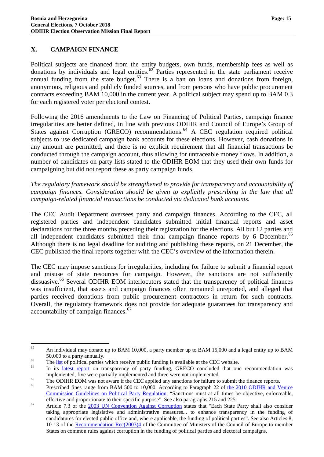#### <span id="page-16-0"></span>**X. CAMPAIGN FINANCE**

Political subjects are financed from the entity budgets, own funds, membership fees as well as donations by individuals and legal entities.<sup>[62](#page-16-1)</sup> Parties represented in the state parliament receive annual funding from the state budget.<sup>[63](#page-16-2)</sup> There is a ban on loans and donations from foreign, anonymous, religious and publicly funded sources, and from persons who have public procurement contracts exceeding BAM 10,000 in the current year. A political subject may spend up to BAM 0.3 for each registered voter per electoral contest.

Following the 2016 amendments to the Law on Financing of Political Parties, campaign finance irregularities are better defined, in line with previous ODIHR and Council of Europe's Group of States against Corruption (GRECO) recommendations.<sup>[64](#page-16-3)</sup> A CEC regulation required political subjects to use dedicated campaign bank accounts for these elections. However, cash donations in any amount are permitted, and there is no explicit requirement that all financial transactions be conducted through the campaign account, thus allowing for untraceable money flows. In addition, a number of candidates on party lists stated to the ODIHR EOM that they used their own funds for campaigning but did not report these as party campaign funds.

*The regulatory framework should be strengthened to provide for transparency and accountability of campaign finances. Consideration should be given to explicitly prescribing in the law that all campaign-related financial transactions be conducted via dedicated bank accounts.*

The CEC Audit Department oversees party and campaign finances. According to the CEC, all registered parties and independent candidates submitted initial financial reports and asset declarations for the three months preceding their registration for the elections. All but 12 parties and all independent candidates submitted their final campaign finance reports by 6 December.<sup>[65](#page-16-4)</sup> Although there is no legal deadline for auditing and publishing these reports, on 21 December, the CEC published the final reports together with the CEC's overview of the information therein.

The CEC may impose sanctions for irregularities, including for failure to submit a financial report and misuse of state resources for campaign. However, the sanctions are not sufficiently dissuasive.<sup>[66](#page-16-5)</sup> Several ODIHR EOM interlocutors stated that the transparency of political finances was insufficient, that assets and campaign finances often remained unreported, and alleged that parties received donations from public procurement contractors in return for such contracts. Overall, the regulatory framework does not provide for adequate guarantees for transparency and accountability of campaign finances.<sup>[67](#page-16-6)</sup>

<span id="page-16-1"></span> $62$  An individual may donate up to BAM 10,000, a party member up to BAM 15,000 and a legal entity up to BAM 50,000 to a party annually.<br>
The <u>list</u> of political parties which receive public funding is available at the CEC website.<br>
In its <u>[latest report](https://rm.coe.int/third-evaluation-round-fourth-interim-compliance-report-on-bosnia-and-/1680735d5b)</u> on transparency of party funding, GRECO concluded that one recommendation w

<span id="page-16-3"></span><span id="page-16-2"></span>

<span id="page-16-4"></span>implemented, five were partially implemented and three were not implemented.<br>The ODIHR EOM was not aware if the CEC applied any sanctions for failure to submit the finance reports.<br>Frescribed fines range from BAM 500 to 10

<span id="page-16-5"></span>[Commission Guidelines on Political Party Regulation,](https://www.osce.org/odihr/77812?download=true) "Sanctions must at all times be objective, enforceable,

<span id="page-16-6"></span>effective and proportionate to their specific purpose". See also paragraphs 215 and 225.<br>Article 7.3 of the [2003 UN Convention Against Corruption](https://www.unodc.org/documents/brussels/UN_Convention_Against_Corruption.pdf) states that "Each State Party shall also consider taking appropriate legislative and administrative measures... to enhance transparency in the funding of candidatures for elected public office and, where applicable, the funding of political parties". See also Articles 8, 10-13 of the [Recommendation Rec\(2003\)4](https://www.coe.int/t/dg1/legalcooperation/economiccrime/cybercrime/cy%20activity%20interface2006/rec%202003%20(4)%20pol%20parties%20EN.pdf) of the Committee of Ministers of the Council of Europe to member States on common rules against corruption in the funding of political parties and electoral campaigns.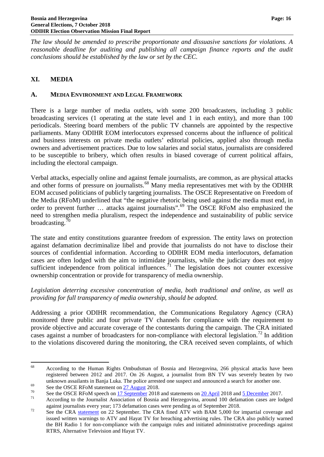*The law should be amended to prescribe proportionate and dissuasive sanctions for violations. A reasonable deadline for auditing and publishing all campaign finance reports and the audit conclusions should be established by the law or set by the CEC.*

## <span id="page-17-0"></span>**XI. MEDIA**

#### <span id="page-17-1"></span>**A. MEDIA ENVIRONMENT AND LEGAL FRAMEWORK**

There is a large number of media outlets, with some 200 broadcasters, including 3 public broadcasting services (1 operating at the state level and 1 in each entity), and more than 100 periodicals. Steering board members of the public TV channels are appointed by the respective parliaments. Many ODIHR EOM interlocutors expressed concerns about the influence of political and business interests on private media outlets' editorial policies, applied also through media owners and advertisement practices. Due to low salaries and social status, journalists are considered to be susceptible to bribery, which often results in biased coverage of current political affairs, including the electoral campaign.

Verbal attacks, especially online and against female journalists, are common, as are physical attacks and other forms of pressure on journalists.[68](#page-17-2) Many media representatives met with by the ODIHR EOM accused politicians of publicly targeting journalists. The OSCE Representative on Freedom of the Media (RFoM) underlined that "the negative rhetoric being used against the media must end, in order to prevent further ... attacks against journalists".<sup>[69](#page-17-3)</sup> The OSCE RFoM also emphasized the need to strengthen media pluralism, respect the independence and sustainability of public service broadcasting. $70$ 

The state and entity constitutions guarantee freedom of expression. The entity laws on protection against defamation decriminalize libel and provide that journalists do not have to disclose their sources of confidential information. According to ODIHR EOM media interlocutors, defamation cases are often lodged with the aim to intimidate journalists, while the judiciary does not enjoy sufficient independence from political influences.<sup>[71](#page-17-5)</sup> The legislation does not counter excessive ownership concentration or provide for transparency of media ownership.

*Legislation deterring excessive concentration of media, both traditional and online, as well as providing for full transparency of media ownership, should be adopted.*

Addressing a prior ODIHR recommendation, the Communications Regulatory Agency (CRA) monitored three public and four private TV channels for compliance with the requirement to provide objective and accurate coverage of the contestants during the campaign. The CRA initiated cases against a number of broadcasters for non-compliance with electoral legislation.<sup>[72](#page-17-6)</sup> In addition to the violations discovered during the monitoring, the CRA received seven complaints, of which

<span id="page-17-2"></span><sup>&</sup>lt;sup>68</sup> According to the Human Rights Ombudsman of Bosnia and Herzegovina, 266 physical attacks have been registered between 2012 and 2017. On 26 August, a journalist from BN TV was severely beaten by two unknown assailants in Banja Luka. The police arrested one suspect and announced a search for another one.<br>See the OSCE RFoM statement on  $\frac{27 \text{ August}}{2018}$  2018.<br>See the OSCE RFoM speech on <u>17 September</u> 2018 and stateme

<span id="page-17-3"></span>

<span id="page-17-4"></span>

<span id="page-17-6"></span><span id="page-17-5"></span>against journalists every year; 173 defamation cases were pending as of September 2018.<br>See the CRA [statement](https://rak.ba/news/588) on 22 September. The CRA fined ATV with BAM 5,000 for impartial coverage and issued written warnings to ATV and Hayat TV for breaching advertising rules. The CRA also publicly warned the BH Radio 1 for non-compliance with the campaign rules and initiated administrative proceedings against RTRS, Alternative Television and Hayat TV.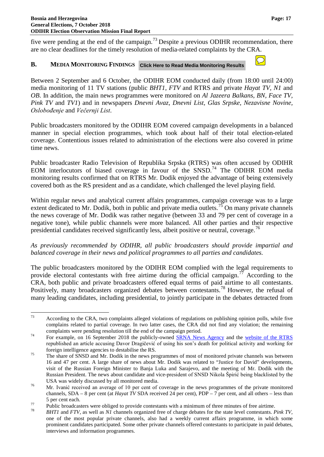five were pending at the end of the campaign.<sup>[73](#page-18-1)</sup> Despite a previous ODIHR recommendation, there are no clear deadlines for the timely resolution of media-related complaints by the CRA.

#### <span id="page-18-0"></span>**B. MEDIA MONITORING FINDINGS Click Here to Read Media Monitoring Results**

Between 2 September and 6 October, the ODIHR EOM conducted daily (from 18:00 until 24:00) media monitoring of 11 TV stations (public *BHT1, FTV* and RTRS and private *Hayat TV, N1* and *OB*. In addition, the main news programmes were monitored on *Al Jazeera Balkans, BN, Face TV, Pink TV* and *TV1*) and in newspapers *Dnevni Avaz, Dnevni List, Glas Srpske, Nezavisne Novine, Oslobođenje* and *Večernji List*.

Public broadcasters monitored by the ODIHR EOM covered campaign developments in a balanced manner in special election programmes, which took about half of their total election-related coverage. Contentious issues related to administration of the elections were also covered in prime time news.

Public broadcaster Radio Television of Republika Srpska (RTRS) was often accused by ODIHR EOM interlocutors of biased coverage in favour of the  $SNSD<sup>74</sup>$  $SNSD<sup>74</sup>$  $SNSD<sup>74</sup>$  The ODIHR EOM media monitoring results confirmed that on RTRS Mr. Dodik enjoyed the advantage of being extensively covered both as the RS president and as a candidate, which challenged the level playing field.

Within regular news and analytical current affairs programmes, campaign coverage was to a large extent dedicated to Mr. Dodik, both in public and private media outlets.<sup>[75](#page-18-3)</sup> On many private channels the news coverage of Mr. Dodik was rather negative (between 33 and 79 per cent of coverage in a negative tone), while public channels were more balanced. All other parties and their respective presidential candidates received significantly less, albeit positive or neutral, coverage.<sup>[76](#page-18-4)</sup>

*As previously recommended by ODIHR, all public broadcasters should provide impartial and balanced coverage in their news and political programmes to all parties and candidates.*

The public broadcasters monitored by the ODIHR EOM complied with the legal requirements to provide electoral contestants with free airtime during the official campaign.<sup>[77](#page-18-5)</sup> According to the CRA, both public and private broadcasters offered equal terms of paid airtime to all contestants. Positively, many broadcasters organized debates between contestants.[78](#page-18-6) However, the refusal of many leading candidates, including presidential, to jointly participate in the debates detracted from

<span id="page-18-1"></span><sup>&</sup>lt;sup>73</sup> According to the CRA, two complaints alleged violations of regulations on publishing opinion polls, while five complains related to partial coverage. In two latter cases, the CRA did not find any violation; the remaining complaints were pending resolution till the end of the campaign period.<br>For example, on 16 September 2018 the publicly-owned [SRNA News Agency](http://www.srna.rs/novosti1/627484/infosrpska-heroj-na-smrti-svoga-sina.htm) and the [website of the RTRS](http://lat.rtrs.tv/vijesti/vijest.php?id=310442)

<span id="page-18-2"></span>republished an article accusing Davor Dragičević of using his son's death for political activity and working for foreign intelligence agencies to destabilise the RS.<br><sup>75</sup> The share of SNSD and Mr. Dodik in the news programmes of most of monitored private channels was between

<span id="page-18-3"></span><sup>16</sup> and 47 per cent. A large share of news about Mr. Dodik was related to "Justice for David" developments, visit of the Russian Foreign Minister to Banja Luka and Sarajevo, and the meeting of Mr. Dodik with the Russian President. The news about candidate and vice-president of SNSD Nikola Špirić being blacklisted by the

<span id="page-18-4"></span>USA was widely discussed by all monitored media.<br><sup>76</sup> Mr. Ivanić received an average of 10 per cent of coverage in the news programmes of the private monitored channels, SDA – 8 per cent (at *Hayat TV* SDA received 24 per cent), PDP – 7 per cent, and all others – less than

<span id="page-18-5"></span><sup>5</sup> per cent each.<br>
Public broadcasters were obliged to provide contestants with a minimum of three minutes of free airtime.<br> *BHT1* and *FTV*, as well as *N1* channels organized free of charge debates for the state level co

<span id="page-18-6"></span>one of the most popular private channels, also had a weekly current affairs programme, in which some prominent candidates participated. Some other private channels offered contestants to participate in paid debates, interviews and information programmes.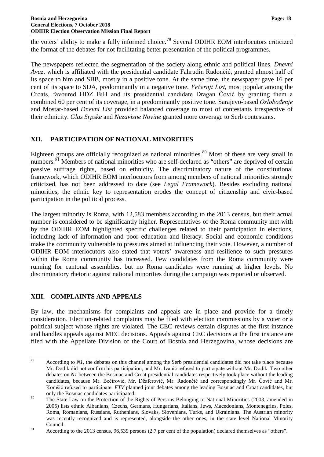the voters' ability to make a fully informed choice.[79](#page-19-2) Several ODIHR EOM interlocutors criticized the format of the debates for not facilitating better presentation of the political programmes.

The newspapers reflected the segmentation of the society along ethnic and political lines. *Dnevni Avaz*, which is affiliated with the presidential candidate Fahrudin Radončić, granted almost half of its space to him and SBB, mostly in a positive tone. At the same time, the newspaper gave 16 per cent of its space to SDA, predominantly in a negative tone. *Večernji List*, most popular among the Croats, favoured HDZ BiH and its presidential candidate Dragan Čović by granting them a combined 60 per cent of its coverage, in a predominantly positive tone. Sarajevo-based *Oslobođenje* and Mostar-based *Dnevni List* provided balanced coverage to most of contestants irrespective of their ethnicity. *Glas Srpske* and *Nezavisne Novine* granted more coverage to Serb contestants.

## <span id="page-19-0"></span>**XII. PARTICIPATION OF NATIONAL MINORITIES**

Eighteen groups are officially recognized as national minorities.<sup>[80](#page-19-3)</sup> Most of these are very small in numbers.<sup>[81](#page-19-4)</sup> Members of national minorities who are self-declared as "others" are deprived of certain passive suffrage rights, based on ethnicity. The discriminatory nature of the constitutional framework, which ODIHR EOM interlocutors from among members of national minorities strongly criticized, has not been addressed to date (see *Legal Framework*). Besides excluding national minorities, the ethnic key to representation erodes the concept of citizenship and civic-based participation in the political process.

The largest minority is Roma, with 12,583 members according to the 2013 census, but their actual number is considered to be significantly higher. Representatives of the Roma community met with by the ODIHR EOM highlighted specific challenges related to their participation in elections, including lack of information and poor education and literacy. Social and economic conditions make the community vulnerable to pressures aimed at influencing their vote. However, a number of ODIHR EOM interlocutors also stated that voters' awareness and resilience to such pressures within the Roma community has increased. Few candidates from the Roma community were running for cantonal assemblies, but no Roma candidates were running at higher levels. No discriminatory rhetoric against national minorities during the campaign was reported or observed.

## <span id="page-19-1"></span>**XIII. COMPLAINTS AND APPEALS**

By law, the mechanisms for complaints and appeals are in place and provide for a timely consideration. Election-related complaints may be filed with election commissions by a voter or a political subject whose rights are violated. The CEC reviews certain disputes at the first instance and handles appeals against MEC decisions. Appeals against CEC decisions at the first instance are filed with the Appellate Division of the Court of Bosnia and Herzegovina, whose decisions are

<span id="page-19-2"></span><sup>&</sup>lt;sup>79</sup> According to *N1*, the debates on this channel among the Serb presidential candidates did not take place because Mr. Dodik did not confirm his participation, and Mr. Ivanić refused to participate without Mr. Dodik. Two other debates on *N1* between the Bosniac and Croat presidential candidates respectively took place without the leading candidates, because Mr. Bećirović, Mr. Džaferović, Mr. Radončić and correspondingly Mr. Čović and Mr. Komšić refused to participate. *FTV* planned joint debates among the leading Bosniac and Croat candidates, but only the Bosniac candidates participated.<br><sup>80</sup> The State Law on the Protection of the Rights of Persons Belonging to National Minorities (2003, amended in

<span id="page-19-3"></span><sup>2005)</sup> lists ethnic Albanians, Czechs, Germans, Hungarians, Italians, Jews, Macedonians, Montenegrins, Poles, Roma, Romanians, Russians, Ruthenians, Slovaks, Slovenians, Turks, and Ukrainians. The Austrian minority was recently recognized and is represented, alongside the other ones, in the state level National Minority Founcil.<br><sup>81</sup> According to the 2013 census, 96,539 persons (2.7 per cent of the population) declared themselves as "others".

<span id="page-19-4"></span>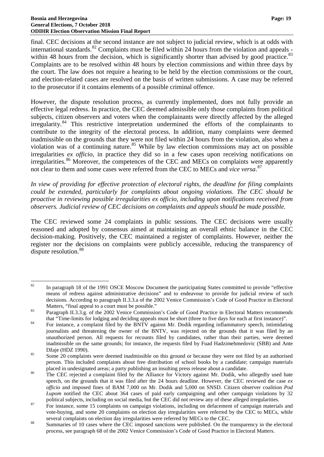final. CEC decisions at the second instance are not subject to judicial review, which is at odds with international standards.<sup>[82](#page-20-0)</sup> Complaints must be filed within 24 hours from the violation and appeals -within 48 hours from the decision, which is significantly shorter than advised by good practice.<sup>[83](#page-20-1)</sup> Complaints are to be resolved within 48 hours by election commissions and within three days by the court. The law does not require a hearing to be held by the election commissions or the court, and election-related cases are resolved on the basis of written submissions. A case may be referred to the prosecutor if it contains elements of a possible criminal offence.

However, the dispute resolution process, as currently implemented, does not fully provide an effective legal redress. In practice, the CEC deemed admissible only those complaints from political subjects, citizen observers and voters when the complainants were directly affected by the alleged irregularity.[84](#page-20-2) This restrictive interpretation undermined the efforts of the complainants to contribute to the integrity of the electoral process. In addition, many complaints were deemed inadmissible on the grounds that they were not filed within 24 hours from the violation, also when a violation was of a continuing nature.<sup>[85](#page-20-3)</sup> While by law election commissions may act on possible irregularities *ex officio*, in practice they did so in a few cases upon receiving notifications on irregularities.<sup>[86](#page-20-4)</sup> Moreover, the competences of the CEC and MECs on complaints were apparently not clear to them and some cases were referred from the CEC to MECs and *vice versa*. [87](#page-20-5)

*In view of providing for effective protection of electoral rights, the deadline for filing complaints could be extended, particularly for complaints about ongoing violations*. *The CEC should be proactive in reviewing possible irregularities ex officio, including upon notifications received from observers. Judicial review of CEC decisions on complaints and appeals should be made possible.*

The CEC reviewed some 24 complaints in public sessions. The CEC decisions were usually reasoned and adopted by consensus aimed at maintaining an overall ethnic balance in the CEC decision-making. Positively, the CEC maintained a register of complaints. However, neither the register nor the decisions on complaints were publicly accessible, reducing the transparency of dispute resolution.<sup>[88](#page-20-6)</sup>

<span id="page-20-0"></span><sup>&</sup>lt;sup>82</sup> In paragraph 18 of the 1991 OSCE Moscow Document the participating States committed to provide "effective means of redress against administrative decisions" and to endeavour to provide for judicial review of such decisions. According to paragraph II.3.3.a of the 2002 Venice Commission's Code of Good Practice in Electoral

<span id="page-20-1"></span>Matters, "final appeal to a court must be possible."<br>
Paragraph II.3.3.g. of the 2002 Venice Commission's Code of Good Practice in Electoral Matters recommends<br>
that "Time-limits for lodging and deciding appeals must be sh

<span id="page-20-2"></span>that "Time-limits for lodging and deciding appeals must be short (three to five days for each at first instance)". <sup>84</sup> For instance, a complaint filed by the BNTV against Mr. Dodik regarding inflammatory speech, intimidating journalists and threatening the owner of the BNTV, was rejected on the grounds that it was filed by an unauthorized person. All requests for recounts filed by candidates, rather than their parties, were deemed inadmissible on the same grounds; for instance, the requests filed by Fuad Hadzimehmedovic (SBB) and Ante Džaje (HDZ 1990).<br>
Some 20 complaints were deemed inadmissible on this ground or because they were not filed by an authorised

<span id="page-20-3"></span>person. This included complaints about free distribution of school books by a candidate; campaign materials

<span id="page-20-4"></span>placed in undesignated areas; a party publishing an insulting press release about a candidate.<br><sup>86</sup> The CEC rejected a complaint filed by the Alliance for Victory against Mr. Dodik, who allegedly used hate speech, on the grounds that it was filed after the 24 hours deadline. However, the CEC reviewed the case *ex officio* and imposed fines of BAM 7,000 on Mr. Dodik and 5,000 on SNSD. Citizen observer coalition *Pod Lupom* notified the CEC about 364 cases of paid early campaigning and other campaign violations by 32

<span id="page-20-5"></span>political subjects, including on social media, but the CEC did not review any of these alleged irregularities.<br><sup>87</sup> For instance, some 15 complaints on campaign violations, including on defacement of campaign materials and vote-buying, and some 20 complaints on election day irregularities were referred by the CEC to MECs, while

<span id="page-20-6"></span>several complaints on election day irregularities were referred by MECs to the CEC.<br>Summaries of 10 cases where the CEC imposed sanctions were published. On the transparency in the electoral process, see paragraph 68 of the 2002 Venice Commission's Code of Good Practice in Electoral Matters.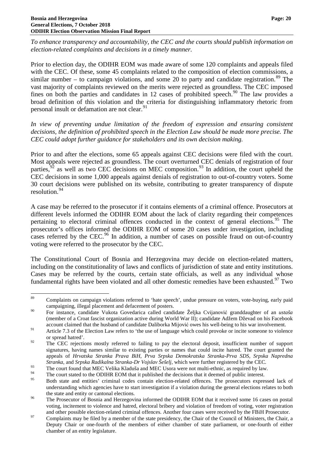*To enhance transparency and accountability, the CEC and the courts should publish information on election-related complaints and decisions in a timely manner.*

Prior to election day, the ODIHR EOM was made aware of some 120 complaints and appeals filed with the CEC. Of these, some 45 complaints related to the composition of election commissions, a similar number – to campaign violations, and some 20 to party and candidate registration.<sup>[89](#page-21-0)</sup> The vast majority of complaints reviewed on the merits were rejected as groundless. The CEC imposed fines on both the parties and candidates in 12 cases of prohibited speech.<sup>[90](#page-21-1)</sup> The law provides a broad definition of this violation and the criteria for distinguishing inflammatory rhetoric from personal insult or defamation are not clear.<sup>[91](#page-21-2)</sup>

*In view of preventing undue limitation of the freedom of expression and ensuring consistent decisions, the definition of prohibited speech in the Election Law should be made more precise. The CEC could adopt further guidance for stakeholders and its own decision making.*

Prior to and after the elections, some 65 appeals against CEC decisions were filed with the court. Most appeals were rejected as groundless. The court overturned CEC denials of registration of four parties,  $92$  as well as two CEC decisions on MEC composition.<sup>[93](#page-21-4)</sup> In addition, the court upheld the CEC decisions in some 1,000 appeals against denials of registration to out-of-country voters. Some 30 court decisions were published on its website, contributing to greater transparency of dispute resolution.[94](#page-21-5)

A case may be referred to the prosecutor if it contains elements of a criminal offence. Prosecutors at different levels informed the ODIHR EOM about the lack of clarity regarding their competences pertaining to electoral criminal offences conducted in the context of general elections.<sup>[95](#page-21-6)</sup> The prosecutor's offices informed the ODIHR EOM of some 20 cases under investigation, including cases referred by the CEC.<sup>[96](#page-21-7)</sup> In addition, a number of cases on possible fraud on out-of-country voting were referred to the prosecutor by the CEC.

The Constitutional Court of Bosnia and Herzegovina may decide on election-related matters, including on the constitutionality of laws and conflicts of jurisdiction of state and entity institutions. Cases may be referred by the courts, certain state officials, as well as any individual whose fundamental rights have been violated and all other domestic remedies have been exhausted.<sup>[97](#page-21-8)</sup> Two

<span id="page-21-0"></span><sup>&</sup>lt;sup>89</sup> Complaints on campaign violations referred to 'hate speech', undue pressure on voters, vote-buying, early paid campaigning, illegal placement and defacement of posters.

<span id="page-21-1"></span><sup>90</sup> For instance, candidate Vukota Govedarica called candidate Željka Cvijanović granddaughter of an *ustaša*  (member of a Croat fascist organization active during World War II); candidate Adžem Dževad on his Facebook account claimed that the husband of candidate Daliborka Mijović owes his well-being to his war involvement.

<span id="page-21-2"></span><sup>91</sup> Article 7.3 of the Election Law refers to 'the use of language which could provoke or incite someone to violence or spread hatred'.

<span id="page-21-3"></span><sup>&</sup>lt;sup>92</sup> The CEC rejections mostly referred to failing to pay the electoral deposit, insufficient number of support signatures, having names similar to existing parties or names that could incite hatred. The court granted the appeals of *Hrvatska Stranka Prava BiH*, *Prva Srpska Demokratska Stranka-Prva SDS, Srpska Napredna* 

<span id="page-21-4"></span>*Stranka*, and *Srpska Radikalna Stranka-Dr Vojslav Šešelj*, which were further registered by the CEC.<br>The court found that MEC Velika Kladuša and MEC Usora were not multi-ethnic, as required by law.

<span id="page-21-5"></span><sup>&</sup>lt;sup>94</sup> The court stated to the ODIHR EOM that it published the decisions that it deemed of public interest.

<span id="page-21-6"></span><sup>95</sup> Both state and entities' criminal codes contain election-related offences. The prosecutors expressed lack of understanding which agencies have to start investigation if a violation during the general elections relates to both

<span id="page-21-7"></span>the state and entity or cantonal elections.<br><sup>96</sup> The Prosecutor of Bosnia and Herzegovina informed the ODIHR EOM that it received some 16 cases on postal voting, incitement to violence and hatred, electoral bribery and violation of freedom of voting, voter registration

<span id="page-21-8"></span><sup>&</sup>lt;sup>97</sup> Complaints may be filed by a member of the state presidency, the Chair of the Council of Ministers, the Chair, a Deputy Chair or one-fourth of the members of either chamber of state parliament, or one-fourth of either chamber of an entity legislature.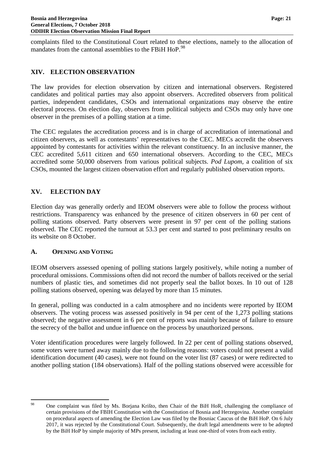complaints filed to the Constitutional Court related to these elections, namely to the allocation of mandates from the cantonal assemblies to the FBiH HoP.<sup>[98](#page-22-3)</sup>

#### <span id="page-22-0"></span>**XIV. ELECTION OBSERVATION**

The law provides for election observation by citizen and international observers. Registered candidates and political parties may also appoint observers. Accredited observers from political parties, independent candidates, CSOs and international organizations may observe the entire electoral process. On election day, observers from political subjects and CSOs may only have one observer in the premises of a polling station at a time.

The CEC regulates the accreditation process and is in charge of accreditation of international and citizen observers, as well as contestants' representatives to the CEC. MECs accredit the observers appointed by contestants for activities within the relevant constituency. In an inclusive manner, the CEC accredited 5,611 citizen and 650 international observers. According to the CEC, MECs accredited some 50,000 observers from various political subjects. *Pod Lupom*, a coalition of six CSOs, mounted the largest citizen observation effort and regularly published observation reports.

#### <span id="page-22-1"></span>**XV. ELECTION DAY**

Election day was generally orderly and IEOM observers were able to follow the process without restrictions. Transparency was enhanced by the presence of citizen observers in 60 per cent of polling stations observed. Party observers were present in 97 per cent of the polling stations observed. The CEC reported the turnout at 53.3 per cent and started to post preliminary results on its website on 8 October.

#### <span id="page-22-2"></span>**A. OPENING AND VOTING**

IEOM observers assessed opening of polling stations largely positively, while noting a number of procedural omissions. Commissions often did not record the number of ballots received or the serial numbers of plastic ties, and sometimes did not properly seal the ballot boxes. In 10 out of 128 polling stations observed, opening was delayed by more than 15 minutes.

In general, polling was conducted in a calm atmosphere and no incidents were reported by IEOM observers. The voting process was assessed positively in 94 per cent of the 1,273 polling stations observed; the negative assessment in 6 per cent of reports was mainly because of failure to ensure the secrecy of the ballot and undue influence on the process by unauthorized persons.

Voter identification procedures were largely followed. In 22 per cent of polling stations observed, some voters were turned away mainly due to the following reasons: voters could not present a valid identification document (40 cases), were not found on the voter list (87 cases) or were redirected to another polling station (184 observations). Half of the polling stations observed were accessible for

<span id="page-22-3"></span><sup>&</sup>lt;sup>98</sup> One complaint was filed by Ms. Borjana Krišto, then Chair of the BiH HoR, challenging the compliance of certain provisions of the FBIH Constitution with the Constitution of Bosnia and Herzegovina. Another complaint on procedural aspects of amending the Election Law was filed by the Bosniac Caucus of the BiH HoP. On 6 July 2017, it was rejected by the Constitutional Court. Subsequently, the draft legal amendments were to be adopted by the BiH HoP by simple majority of MPs present, including at least one-third of votes from each entity.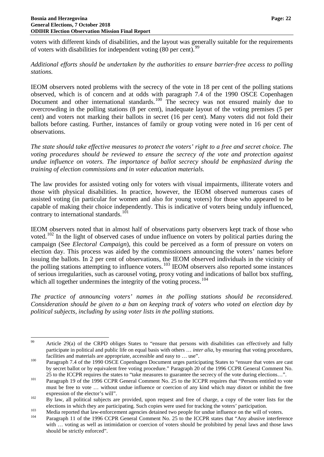voters with different kinds of disabilities, and the layout was generally suitable for the requirements of voters with disabilities for independent voting (80 per cent).<sup>[99](#page-23-0)</sup>

*Additional efforts should be undertaken by the authorities to ensure barrier-free access to polling stations.*

IEOM observers noted problems with the secrecy of the vote in 18 per cent of the polling stations observed, which is of concern and at odds with paragraph 7.4 of the 1990 OSCE Copenhagen Document and other international standards.<sup>[100](#page-23-1)</sup> The secrecy was not ensured mainly due to overcrowding in the polling stations (8 per cent), inadequate layout of the voting premises (5 per cent) and voters not marking their ballots in secret (16 per cent). Many voters did not fold their ballots before casting. Further, instances of family or group voting were noted in 16 per cent of observations.

*The state should take effective measures to protect the voters' right to a free and secret choice. The voting procedures should be reviewed to ensure the secrecy of the vote and protection against undue influence on voters. The importance of ballot secrecy should be emphasized during the training of election commissions and in voter education materials.*

The law provides for assisted voting only for voters with visual impairments, illiterate voters and those with physical disabilities. In practice, however, the IEOM observed numerous cases of assisted voting (in particular for women and also for young voters) for those who appeared to be capable of making their choice independently. This is indicative of voters being unduly influenced, contrary to international standards.<sup>[101](#page-23-2)</sup>

IEOM observers noted that in almost half of observations party observers kept track of those who voted.<sup>[102](#page-23-3)</sup> In the light of observed cases of undue influence on voters by political parties during the campaign (See *Electoral Campaign*), this could be perceived as a form of pressure on voters on election day. This process was aided by the commissioners announcing the voters' names before issuing the ballots. In 2 per cent of observations, the IEOM observed individuals in the vicinity of the polling stations attempting to influence voters.<sup>[103](#page-23-4)</sup> IEOM observers also reported some instances of serious irregularities, such as carousel voting, proxy voting and indications of ballot box stuffing, which all together undermines the integrity of the voting process.<sup>[104](#page-23-5)</sup>

*The practice of announcing voters' names in the polling stations should be reconsidered. Consideration should be given to a ban on keeping track of voters who voted on election day by political subjects, including by using voter lists in the polling stations.*

<span id="page-23-0"></span><sup>&</sup>lt;sup>99</sup> Article 29(a) of the CRPD obliges States to "ensure that persons with disabilities can effectively and fully participate in political and public life on equal basis with others … *inter alia*, by ensuring that voting procedures, facilities and materials are appropriate, accessible and easy to ... use".<br><sup>100</sup> Paragraph 7.4 of the 1990 OSCE Copenhagen Document urges participating States to "ensure that votes are cast

<span id="page-23-1"></span>by secret ballot or by equivalent free voting procedure." Paragraph 20 of the 1996 CCPR General Comment No.

<span id="page-23-2"></span><sup>&</sup>lt;sup>101</sup> 25 to the ICCPR requires the states to "take measures to guarantee the secrecy of the vote during elections...".<br><sup>101</sup> Paragraph 19 of the 1996 CCPR General Comment No. 25 to the ICCPR requires that "Persons entitled must be free to vote … without undue influence or coercion of any kind which may distort or inhibit the free

<span id="page-23-3"></span>expression of the elector's will".<br><sup>102</sup> By law, all political subjects are provided, upon request and free of charge, a copy of the voter lists for the

<span id="page-23-5"></span><span id="page-23-4"></span>elections in which they are participating. Such copies were used for tracking the voters' participation.<br>
Media reported that law-enforcement agencies detained two people for undue influence on the will of voters.<br>
Paragra with ... voting as well as intimidation or coercion of voters should be prohibited by penal laws and those laws should be strictly enforced".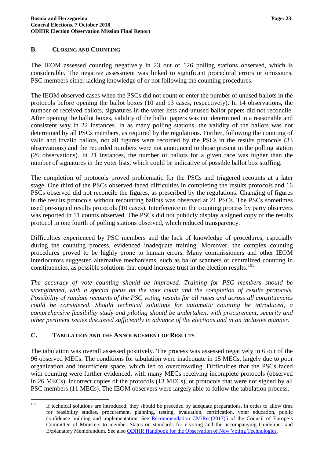### <span id="page-24-0"></span>**B. CLOSING AND COUNTING**

The IEOM assessed counting negatively in 23 out of 126 polling stations observed, which is considerable. The negative assessment was linked to significant procedural errors or omissions, PSC members either lacking knowledge of or not following the counting procedures.

The IEOM observed cases when the PSCs did not count or enter the number of unused ballots in the protocols before opening the ballot boxes (10 and 13 cases, respectively). In 14 observations, the number of received ballots, signatures in the voter lists and unused ballot papers did not reconcile. After opening the ballot boxes, validity of the ballot papers was not determined in a reasonable and consistent way in 22 instances. In as many polling stations, the validity of the ballots was not determined by all PSCs members, as required by the regulations. Further, following the counting of valid and invalid ballots, not all figures were recorded by the PSCs in the results protocols (33 observations) and the recorded numbers were not announced to those present in the polling station (26 observations). In 21 instances, the number of ballots for a given race was higher than the number of signatures in the voter lists, which could be indicative of possible ballot box stuffing.

The completion of protocols proved problematic for the PSCs and triggered recounts at a later stage. One third of the PSCs observed faced difficulties in completing the results protocols and 16 PSCs observed did not reconcile the figures, as prescribed by the regulations. Changing of figures in the results protocols without recounting ballots was observed at 21 PSCs. The PSCs sometimes used pre-signed results protocols (10 cases). Interference in the counting process by party observers was reported in 11 counts observed. The PSCs did not publicly display a signed copy of the results protocol in one fourth of polling stations observed, which reduced transparency.

Difficulties experienced by PSC members and the lack of knowledge of procedures, especially during the counting process, evidenced inadequate training. Moreover, the complex counting procedures proved to be highly prone to human errors. Many commissioners and other IEOM interlocutors suggested alternative mechanisms, such as ballot scanners or centralized counting in constituencies, as possible solutions that could increase trust in the election results. [105](#page-24-2)

*The accuracy of vote counting should be improved. Training for PSC members should be strengthened, with a special focus on the vote count and the completion of results protocols. Possibility of random recounts of the PSC voting results for all races and across all constituencies could be considered. Should technical solutions for automatic counting be introduced, a comprehensive feasibility study and piloting should be undertaken, with procurement, security and other pertinent issues discussed sufficiently in advance of the elections and in an inclusive manner.*

#### <span id="page-24-1"></span>**C. TABULATION AND THE ANNOUNCEMENT OF RESULTS**

The tabulation was overall assessed positively. The process was assessed negatively in 6 out of the 96 observed MECs. The conditions for tabulation were inadequate in 15 MECs, largely due to poor organization and insufficient space, which led to overcrowding. Difficulties that the PSCs faced with counting were further evidenced, with many MECs receiving incomplete protocols (observed in 26 MECs), incorrect copies of the protocols (13 MECs), or protocols that were not signed by all PSC members (11 MECs). The IEOM observers were largely able to follow the tabulation process.

<span id="page-24-2"></span><sup>&</sup>lt;sup>105</sup> If technical solutions are introduced, they should be preceded by adequate preparations, in order to allow time for feasibility studies, procurement, planning, testing, evaluation, certification, voter education, public confidence building and implementation. See [Recommendation CM/Rec\(2017\)5](https://search.coe.int/cm/Pages/result_details.aspx?ObjectID=0900001680726f6f) of the Council of Europe's Committee of Ministers to member States on standards for e-voting and the accompanying Guidelines and Explanatory Memorandum. See also [ODIHR Handbook for the Observation of New Voting Technologies.](https://www.osce.org/odihr/elections/104939)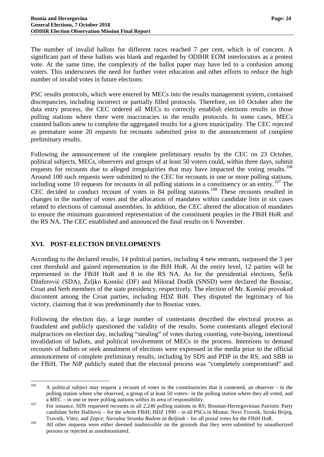The number of invalid ballots for different races reached 7 per cent, which is of concern. A significant part of these ballots was blank and regarded by ODIHR EOM interlocutors as a protest vote. At the same time, the complexity of the ballot paper may have led to a confusion among voters. This underscores the need for further voter education and other efforts to reduce the high number of invalid votes in future elections.

PSC results protocols, which were entered by MECs into the results management system, contained discrepancies, including incorrect or partially filled protocols. Therefore, on 10 October after the data entry process, the CEC ordered all MECs to correctly establish elections results in those polling stations where there were inaccuracies in the results protocols. In some cases, MECs counted ballots anew to complete the aggregated results for a given municipality. The CEC rejected as premature some 20 requests for recounts submitted prior to the announcement of complete preliminary results.

Following the announcement of the complete preliminary results by the CEC on 23 October, political subjects, MECs, observers and groups of at least 50 voters could, within three days, submit requests for recounts due to alleged irregularities that may have impacted the voting results.<sup>[106](#page-25-1)</sup> Around 100 such requests were submitted to the CEC for recounts in one or more polling stations, including some 10 requests for recounts in all polling stations in a constituency or an entity.<sup>[107](#page-25-2)</sup> The CEC decided to conduct recount of votes in 84 polling stations.<sup>[108](#page-25-3)</sup> These recounts resulted in changes in the number of votes and the allocation of mandates within candidate lists in six cases related to elections of cantonal assemblies. In addition, the CEC altered the allocation of mandates to ensure the minimum guaranteed representation of the constituent peoples in the FBiH HoR and the RS NA. The CEC established and announced the final results on 6 November.

### <span id="page-25-0"></span>**XVI. POST-ELECTION DEVELOPMENTS**

According to the declared results, 14 political parties, including 4 new entrants, surpassed the 3 per cent threshold and gained representation in the BiH HoR. At the entity level, 12 parties will be represented in the FBiH HoR and 8 in the RS NA. As for the presidential elections, Šefik Džaferović (SDA), Željko Komšić (DF) and Milorad Dodik (SNSD) were declared the Bosniac, Croat and Serb members of the state presidency, respectively. The election of Mr. Komšić provoked discontent among the Croat parties, including HDZ BiH. They disputed the legitimacy of his victory, claiming that it was predominantly due to Bosniac votes.

Following the election day, a large number of contestants described the electoral process as fraudulent and publicly questioned the validity of the results. Some contestants alleged electoral malpractices on election day, including "stealing" of votes during counting, vote-buying, intentional invalidation of ballots, and political involvement of MECs in the process. Intentions to demand recounts of ballots or seek annulment of elections were expressed in the media prior to the official announcement of complete preliminary results, including by SDS and PDP in the RS, and SBB in the FBiH. The NiP publicly stated that the electoral process was "completely compromised" and

<span id="page-25-1"></span><sup>&</sup>lt;sup>106</sup> A political subject may request a recount of votes in the constituencies that it contested, an observer - in the polling station where s/he observed, a group of at least 50 voters– in the polling station where they all voted, and

<span id="page-25-2"></span>a MEC – in one or more polling stations within its area of responsibility.<br><sup>107</sup> For instance, SDS requested recounts in all 2,240 polling stations in RS; Bosnian-Herzegovinian Patriotic Party candidate Sefer Halilović – for the whole FBiH; HDZ 1990 – in all PSCs in Mostar, Novi Travnik, Siroki Brijeg,

<span id="page-25-3"></span>Travnik, Vitez, and Zepce; *Narodna Stranka Radom za Boljitak* – for all postal votes for the FBiH HoR.<br><sup>108</sup> All other requests were either deemed inadmissible on the grounds that they were submitted by unauthorized persons or rejected as unsubstantiated.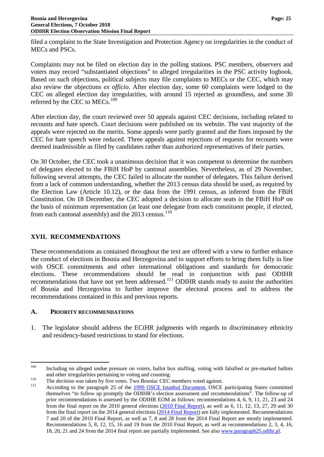filed a complaint to the State Investigation and Protection Agency on irregularities in the conduct of MECs and PSCs.

Complaints may not be filed on election day in the polling stations. PSC members, observers and voters may record "substantiated objections" to alleged irregularities in the PSC activity logbook. Based on such objections, political subjects may file complaints to MECs or the CEC, which may also review the objections *ex officio*. After election day, some 60 complaints were lodged to the CEC on alleged election day irregularities, with around 15 rejected as groundless, and some 30 referred by the CEC to MECs.<sup>[109](#page-26-2)</sup>

After election day, the court reviewed over 50 appeals against CEC decisions, including related to recounts and hate speech. Court decisions were published on its website. The vast majority of the appeals were rejected on the merits. Some appeals were partly granted and the fines imposed by the CEC for hate speech were reduced. Three appeals against rejections of requests for recounts were deemed inadmissible as filed by candidates rather than authorized representatives of their parties.

On 30 October, the CEC took a unanimous decision that it was competent to determine the numbers of delegates elected to the FBiH HoP by cantonal assemblies. Nevertheless, as of 29 November, following several attempts, the CEC failed to allocate the number of delegates. This failure derived from a lack of common understanding, whether the 2013 census data should be used, as required by the Election Law (Article 10.12), or the data from the 1991 census, as inferred from the FBiH Constitution. On 18 December, the CEC adopted a decision to allocate seats in the FBiH HoP on the basis of minimum representation (at least one delegate from each constituent people, if elected, from each cantonal assembly) and the  $2013$  census.<sup>[110](#page-26-3)</sup>

## <span id="page-26-0"></span>**XVII. RECOMMENDATIONS**

These recommendations as contained throughout the text are offered with a view to further enhance the conduct of elections in Bosnia and Herzegovina and to support efforts to bring them fully in line with OSCE commitments and other international obligations and standards for democratic elections. These recommendations should be read in conjunction with past ODIHR recommendations that have not yet been addressed.<sup>[111](#page-26-4)</sup> ODIHR stands ready to assist the authorities of Bosnia and Herzegovina to further improve the electoral process and to address the recommendations contained in this and previous reports.

### <span id="page-26-1"></span>**A. PRIORITY RECOMMENDATIONS**

1. The legislator should address the ECtHR judgments with regards to discriminatory ethnicity and residency-based restrictions to stand for elections.

<span id="page-26-2"></span><sup>&</sup>lt;sup>109</sup> Including on alleged undue pressure on voters, ballot box stuffing, voting with falsified or pre-marked ballots and other irregularities pertaining to voting and counting.

<span id="page-26-4"></span><span id="page-26-3"></span>

The decision was taken by five votes. Two Bosniac CEC members voted against.<br>
111 According to the paragraph 25 of the [1999 OSCE Istanbul Document,](https://www.osce.org/mc/39569) OSCE participating States committed themselves "to follow up promptly the ODIHR's election assessment and recommendations". The follow-up of prior recommendations is assessed by the ODIHR EOM as follows: recommendations 4, 6, 9, 11, 21, 23 and 24 from the final report on the 2010 general elections [\(2010 Final Report\)](https://www.osce.org/odihr/74612), as well as 6, 11, 12, 13, 27, 29 and 30 from the final report on the 2014 general elections [\(2014 Final Report\)](https://www.osce.org/odihr/elections/bih/133511) are fully implemented. Recommendations 7 and 20 of the 2010 Final Report, as well as 7, 8 and 28 from the 2014 Final Report are mostly implemented. Recommendations 5, 8, 12, 15, 16 and 19 from the 2010 Final Report, as well as recommendations 2, 3, 4, 16, 18, 20, 21 and 24 from the 2014 final report are partially implemented. See also [www.paragraph25.odihr.pl.](http://www.paragraph25.odihr.pl/)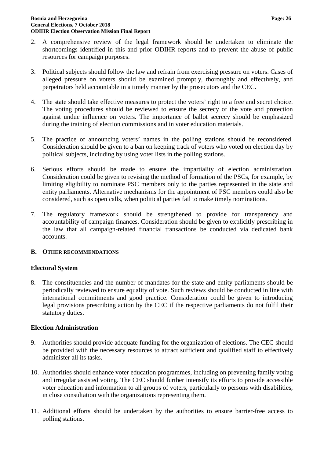- 2. A comprehensive review of the legal framework should be undertaken to eliminate the shortcomings identified in this and prior ODIHR reports and to prevent the abuse of public resources for campaign purposes.
- 3. Political subjects should follow the law and refrain from exercising pressure on voters. Cases of alleged pressure on voters should be examined promptly, thoroughly and effectively, and perpetrators held accountable in a timely manner by the prosecutors and the CEC.
- 4. The state should take effective measures to protect the voters' right to a free and secret choice. The voting procedures should be reviewed to ensure the secrecy of the vote and protection against undue influence on voters. The importance of ballot secrecy should be emphasized during the training of election commissions and in voter education materials.
- 5. The practice of announcing voters' names in the polling stations should be reconsidered. Consideration should be given to a ban on keeping track of voters who voted on election day by political subjects, including by using voter lists in the polling stations.
- 6. Serious efforts should be made to ensure the impartiality of election administration. Consideration could be given to revising the method of formation of the PSCs, for example, by limiting eligibility to nominate PSC members only to the parties represented in the state and entity parliaments. Alternative mechanisms for the appointment of PSC members could also be considered, such as open calls, when political parties fail to make timely nominations.
- 7. The regulatory framework should be strengthened to provide for transparency and accountability of campaign finances. Consideration should be given to explicitly prescribing in the law that all campaign-related financial transactions be conducted via dedicated bank accounts.

### <span id="page-27-0"></span>**B. OTHER RECOMMENDATIONS**

### **Electoral System**

8. The constituencies and the number of mandates for the state and entity parliaments should be periodically reviewed to ensure equality of vote. Such reviews should be conducted in line with international commitments and good practice. Consideration could be given to introducing legal provisions prescribing action by the CEC if the respective parliaments do not fulfil their statutory duties.

### **Election Administration**

- 9. Authorities should provide adequate funding for the organization of elections. The CEC should be provided with the necessary resources to attract sufficient and qualified staff to effectively administer all its tasks.
- 10. Authorities should enhance voter education programmes, including on preventing family voting and irregular assisted voting. The CEC should further intensify its efforts to provide accessible voter education and information to all groups of voters, particularly to persons with disabilities, in close consultation with the organizations representing them.
- 11. Additional efforts should be undertaken by the authorities to ensure barrier-free access to polling stations.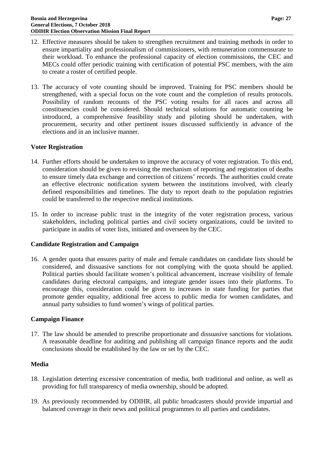- 12. Effective measures should be taken to strengthen recruitment and training methods in order to ensure impartiality and professionalism of commissioners, with remuneration commensurate to their workload. To enhance the professional capacity of election commissions, the CEC and MECs could offer periodic training with certification of potential PSC members, with the aim to create a roster of certified people.
- 13. The accuracy of vote counting should be improved. Training for PSC members should be strengthened, with a special focus on the vote count and the completion of results protocols. Possibility of random recounts of the PSC voting results for all races and across all constituencies could be considered. Should technical solutions for automatic counting be introduced, a comprehensive feasibility study and piloting should be undertaken, with procurement, security and other pertinent issues discussed sufficiently in advance of the elections and in an inclusive manner.

#### **Voter Registration**

- 14. Further efforts should be undertaken to improve the accuracy of voter registration. To this end, consideration should be given to revising the mechanism of reporting and registration of deaths to ensure timely data exchange and correction of citizens' records. The authorities could create an effective electronic notification system between the institutions involved, with clearly defined responsibilities and timelines. The duty to report death to the population registries could be transferred to the respective medical institutions.
- 15. In order to increase public trust in the integrity of the voter registration process, various stakeholders, including political parties and civil society organizations, could be invited to participate in audits of voter lists, initiated and overseen by the CEC.

#### **Candidate Registration and Campaign**

16. A gender quota that ensures parity of male and female candidates on candidate lists should be considered, and dissuasive sanctions for not complying with the quota should be applied. Political parties should facilitate women's political advancement, increase visibility of female candidates during electoral campaigns, and integrate gender issues into their platforms. To encourage this, consideration could be given to increases in state funding for parties that promote gender equality, additional free access to public media for women candidates, and annual party subsidies to fund women's wings of political parties.

#### **Campaign Finance**

17. The law should be amended to prescribe proportionate and dissuasive sanctions for violations. A reasonable deadline for auditing and publishing all campaign finance reports and the audit conclusions should be established by the law or set by the CEC.

#### **Media**

- 18. Legislation deterring excessive concentration of media, both traditional and online, as well as providing for full transparency of media ownership, should be adopted.
- 19. As previously recommended by ODIHR, all public broadcasters should provide impartial and balanced coverage in their news and political programmes to all parties and candidates.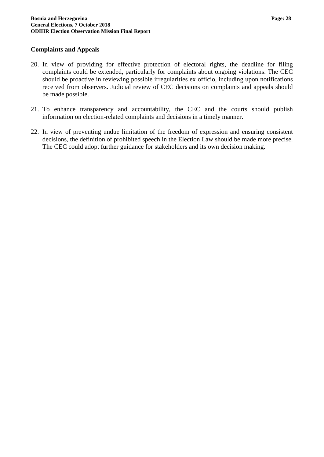### **Complaints and Appeals**

- 20. In view of providing for effective protection of electoral rights, the deadline for filing complaints could be extended, particularly for complaints about ongoing violations. The CEC should be proactive in reviewing possible irregularities ex officio, including upon notifications received from observers. Judicial review of CEC decisions on complaints and appeals should be made possible.
- 21. To enhance transparency and accountability, the CEC and the courts should publish information on election-related complaints and decisions in a timely manner.
- 22. In view of preventing undue limitation of the freedom of expression and ensuring consistent decisions, the definition of prohibited speech in the Election Law should be made more precise. The CEC could adopt further guidance for stakeholders and its own decision making.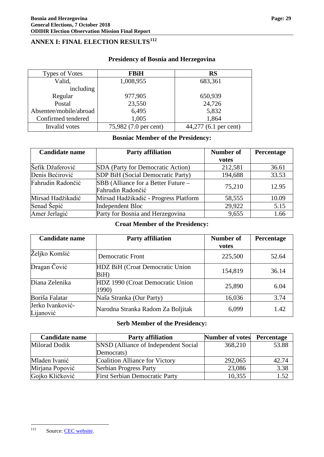## <span id="page-30-0"></span>**ANNEX I: FINAL ELECTION RESULTS[112](#page-30-1)**

| Types of Votes         | <b>FBiH</b>           | <b>RS</b>             |
|------------------------|-----------------------|-----------------------|
| Valid,                 | 1,008,955             | 683,361               |
| including              |                       |                       |
| Regular                | 977,905               | 650,939               |
| Postal                 | 23,550                | 24,726                |
| Absentee/mobile/abroad | 6,495                 | 5,832                 |
| Confirmed tendered     | 1,005                 | 1,864                 |
| Invalid votes          | 75,982 (7.0 per cent) | 44,277 (6.1 per cent) |

## **Presidency of Bosnia and Herzegovina**

## **Bosniac Member of the Presidency:**

| <b>Candidate name</b> | <b>Party affiliation</b>              |         | Percentage |
|-----------------------|---------------------------------------|---------|------------|
|                       |                                       | votes   |            |
| Šefik Džaferović      | SDA (Party for Democratic Action)     | 212,581 | 36.61      |
| Denis Bećirović       | SDP BiH (Social Democratic Party)     | 194,688 | 33.53      |
| Fahrudin Radončić     | SBB (Alliance for a Better Future –   | 75,210  | 12.95      |
|                       | Fahrudin Radončić                     |         |            |
| Mirsad Hadžikadić     | Mirsad Hadžikadić - Progress Platform | 58,555  | 10.09      |
| Senad Šepić           | <b>Independent Bloc</b>               | 29,922  | 5.15       |
| Amer Jerlagić         | Party for Bosnia and Herzegovina      | 9,655   | 1.66       |

## **Croat Member of the Presidency:**

| <b>Candidate name</b>         | <b>Party affiliation</b>                  | Number of<br>votes | Percentage |
|-------------------------------|-------------------------------------------|--------------------|------------|
| Željko Komšić                 | <b>Democratic Front</b>                   | 225,500            | 52.64      |
| Dragan Čović                  | HDZ BiH (Croat Democratic Union<br>BiH)   | 154,819            | 36.14      |
| Diana Zelenika                | HDZ 1990 (Croat Democratic Union<br>1990) | 25,890             | 6.04       |
| Boriša Falatar                | Naša Stranka (Our Party)                  | 16,036             | 3.74       |
| Jerko Ivanković-<br>Lijanović | Narodna Stranka Radom Za Boljitak         | 6,099              | 1.42       |

#### **Serb Member of the Presidency:**

| <b>Candidate name</b> | <b>Party affiliation</b>              | <b>Number of votes</b> | Percentage |
|-----------------------|---------------------------------------|------------------------|------------|
| Milorad Dodik         | SNSD (Alliance of Independent Social  | 368,210                | 53.88      |
|                       | Democrats)                            |                        |            |
| Mladen Ivanić         | Coalition Alliance for Victory        | 292,065                | 42.74      |
| Mirjana Popović       | <b>Serbian Progress Party</b>         | 23,086                 | 3.38       |
| Gojko Kličković       | <b>First Serbian Democratic Party</b> | 10,355                 | 1.52       |

<span id="page-30-1"></span><sup>&</sup>lt;sup>112</sup> Source: [CEC website.](http://www.izbori.ba/rezultati_izbora?resId=25&langId=1#/1/0/0/0/0)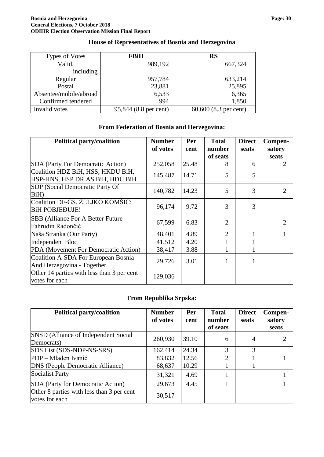| <b>Types of Votes</b>  | <b>FBiH</b>           | <b>RS</b>             |
|------------------------|-----------------------|-----------------------|
| Valid,                 | 989,192               | 667,324               |
| including              |                       |                       |
| Regular                | 957,784               | 633,214               |
| Postal                 | 23,881                | 25,895                |
| Absentee/mobile/abroad | 6,533                 | 6,365                 |
| Confirmed tendered     | 994                   | 1,850                 |
| Invalid votes          | 95,844 (8.8 per cent) | 60,600 (8.3 per cent) |

## **House of Representatives of Bosnia and Herzegovina**

## **From Federation of Bosnia and Herzegovina:**

| <b>Political party/coalition</b>                                     | <b>Number</b><br>of votes | Per<br>cent | <b>Total</b><br>number | <b>Direct</b><br>seats | Compen-<br>satory |
|----------------------------------------------------------------------|---------------------------|-------------|------------------------|------------------------|-------------------|
|                                                                      |                           |             | of seats               |                        | seats             |
| <b>SDA</b> (Party For Democratic Action)                             | 252,058                   | 25.48       | 8                      | 6                      | 2                 |
| Coalition HDZ BiH, HSS, HKDU BiH,<br>HSP-HNS, HSP DR AS BiH, HDU BiH | 145,487                   | 14.71       | 5                      | 5                      |                   |
| <b>SDP</b> (Social Democratic Party Of<br>BiH)                       | 140,782                   | 14.23       | 5                      | 3                      | 2                 |
| Coalition DF-GS, ŽELJKO KOMŠIĆ:<br><b>BiH POBJEĐUJE!</b>             | 96,174                    | 9.72        | 3                      | 3                      |                   |
| SBB (Alliance For A Better Future -<br>Fahrudin Radončić             | 67,599                    | 6.83        | $\overline{2}$         |                        | 2                 |
| Naša Stranka (Our Party)                                             | 48,401                    | 4.89        | $\overline{2}$         |                        |                   |
| Independent Bloc                                                     | 41,512                    | 4.20        |                        |                        |                   |
| PDA (Movement For Democratic Action)                                 | 38,417                    | 3.88        | 1                      |                        |                   |
| Coalition A-SDA For European Bosnia<br>And Herzegovina - Together    | 29,726                    | 3.01        | 1                      | 1                      |                   |
| Other 14 parties with less than 3 per cent<br>votes for each         | 129,036                   |             |                        |                        |                   |

## **From Republika Srpska:**

| <b>Political party/coalition</b>                            | <b>Number</b><br>of votes | Per<br>cent | <b>Total</b><br>number<br>of seats | <b>Direct</b><br>seats | Compen-<br>satory<br>seats |
|-------------------------------------------------------------|---------------------------|-------------|------------------------------------|------------------------|----------------------------|
| SNSD (Alliance of Independent Social<br>Democrats)          | 260,930                   | 39.10       | 6                                  | 4                      |                            |
| SDS List (SDS-NDP-NS-SRS)                                   | 162,414                   | 24.34       | 3                                  | 3                      |                            |
| PDP – Mladen Ivanić                                         | 83,832                    | 12.56       | $\overline{2}$                     |                        |                            |
| DNS (People Democratic Alliance)                            | 68,637                    | 10.29       |                                    |                        |                            |
| <b>Socialist Party</b>                                      | 31,321                    | 4.69        |                                    |                        |                            |
| SDA (Party for Democratic Action)                           | 29,673                    | 4.45        |                                    |                        |                            |
| Other 8 parties with less than 3 per cent<br>votes for each | 30,517                    |             |                                    |                        |                            |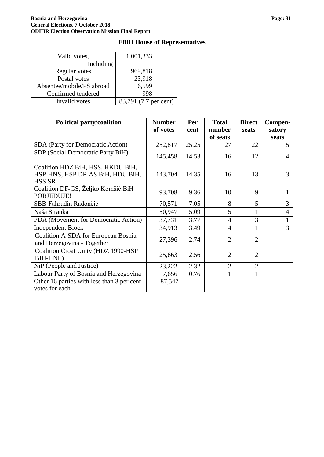#### Valid votes, Including Regular votes Postal votes Absentee/mobile/PS abroad Confirmed tendered<br>Invalid votes 1,001,333 969,818 23,918 6,599 998 83,791 (7.7 per cent)

| <b>Political party/coalition</b>                                                       | <b>Number</b> | Per   | <b>Total</b>   | <b>Direct</b>  | Compen- |
|----------------------------------------------------------------------------------------|---------------|-------|----------------|----------------|---------|
|                                                                                        | of votes      | cent  | number         | seats          | satory  |
|                                                                                        |               |       | of seats       |                | seats   |
| SDA (Party for Democratic Action)                                                      | 252,817       | 25.25 | 27             | 22             | 5       |
| SDP (Social Democratic Party BiH)                                                      | 145,458       | 14.53 | 16             | 12             | 4       |
| Coalition HDZ BiH, HSS, HKDU BiH,<br>HSP-HNS, HSP DR AS BiH, HDU BiH,<br><b>HSS SR</b> | 143,704       | 14.35 | 16             | 13             | 3       |
| Coalition DF-GS, Željko Komšić: BiH<br>POBJEĐUJE!                                      | 93,708        | 9.36  | 10             | 9              |         |
| SBB-Fahrudin Radončić                                                                  | 70,571        | 7.05  | 8              | 5              | 3       |
| Naša Stranka                                                                           | 50,947        | 5.09  | 5              | $\mathbf{1}$   | 4       |
| PDA (Movement for Democratic Action)                                                   | 37,731        | 3.77  | $\overline{4}$ | 3              |         |
| <b>Independent Block</b>                                                               | 34,913        | 3.49  | $\overline{4}$ | 1              | 3       |
| Coalition A-SDA for European Bosnia<br>and Herzegovina - Together                      | 27,396        | 2.74  | $\overline{2}$ | $\overline{2}$ |         |
| Coalition Croat Unity (HDZ 1990-HSP<br><b>BIH-HNL)</b>                                 | 25,663        | 2.56  | $\overline{2}$ | 2              |         |
| NiP (People and Justice)                                                               | 23,222        | 2.32  | $\overline{2}$ | $\overline{2}$ |         |
| Labour Party of Bosnia and Herzegovina                                                 | 7,656         | 0.76  | 1              | $\mathbf{1}$   |         |
| Other 16 parties with less than 3 per cent<br>votes for each                           | 87,547        |       |                |                |         |

## **FBiH House of Representatives**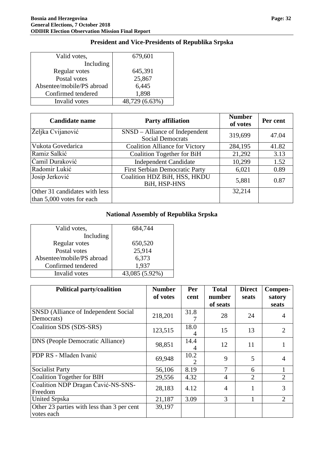#### Valid votes, Including Regular votes Postal votes Absentee/mobile/PS abroad Confirmed tendered<br>Invalid votes 679,601 645,391 25,867 6,445 1,898 48,729 (6.63%)

| <b>Candidate name</b>         | <b>Party affiliation</b>                                  | <b>Number</b><br>of votes | Per cent |
|-------------------------------|-----------------------------------------------------------|---------------------------|----------|
| Željka Cvijanović             | SNSD – Alliance of Independent<br><b>Social Democrats</b> | 319,699                   | 47.04    |
| Vukota Govedarica             | <b>Coalition Alliance for Victory</b>                     | 284,195                   | 41.82    |
| Ramiz Salkić                  | <b>Coalition Together for BiH</b>                         | 21,292                    | 3.13     |
| Camil Duraković               | <b>Independent Candidate</b>                              | 10,299                    | 1.52     |
| Radomir Lukić                 | <b>First Serbian Democratic Party</b>                     | 6,021                     | 0.89     |
| Josip Jerković                | Coalition HDZ BiH, HSS, HKDU<br>BiH, HSP-HNS              | 5,881                     | 0.87     |
| Other 31 candidates with less |                                                           | 32,214                    |          |
| than $5,000$ votes for each   |                                                           |                           |          |

## **President and Vice-Presidents of Republika Srpska**

## **National Assembly of Republika Srpska**

| Valid votes,              | 684,744        |
|---------------------------|----------------|
| Including                 |                |
| Regular votes             | 650,520        |
| Postal votes              | 25,914         |
| Absentee/mobile/PS abroad | 6,373          |
| Confirmed tendered        | 1,937          |
| Invalid votes             | 43,085 (5.92%) |

| <b>Political party/coalition</b>                         | <b>Number</b><br>of votes | Per<br>cent | <b>Total</b><br>number | <b>Direct</b><br>seats | Compen-<br>satory |
|----------------------------------------------------------|---------------------------|-------------|------------------------|------------------------|-------------------|
|                                                          |                           |             | of seats               |                        | seats             |
| SNSD (Alliance of Independent Social<br>Democrats)       | 218,201                   | 31.8        | 28                     | 24                     | 4                 |
| Coalition SDS (SDS-SRS)                                  | 123,515                   | 18.0<br>4   | 15                     | 13                     | 2                 |
| <b>DNS</b> (People Democratic Alliance)                  | 98,851                    | 14.4        | 12                     | 11                     |                   |
| PDP RS - Mladen Ivanić                                   | 69,948                    | 10.2        | 9                      | 5                      | $\overline{4}$    |
| <b>Socialist Party</b>                                   | 56,106                    | 8.19        | 7                      | 6                      |                   |
| <b>Coalition Together for BIH</b>                        | 29,556                    | 4.32        | $\overline{4}$         | 2                      | 2                 |
| Coalition NDP Dragan Cavić-NS-SNS-<br>Freedom            | 28,183                    | 4.12        | $\overline{4}$         | 1                      | 3                 |
| <b>United Srpska</b>                                     | 21,187                    | 3.09        | 3                      |                        | 2                 |
| Other 23 parties with less than 3 per cent<br>votes each | 39,197                    |             |                        |                        |                   |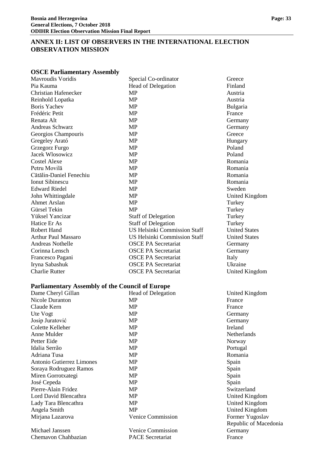## <span id="page-34-0"></span>**ANNEX II: LIST OF OBSERVERS IN THE INTERNATIONAL ELECTION OBSERVATION MISSION**

#### **OSCE Parliamentary Assembly**

| <b>Mayroudis Voridis</b>                        | Special Co-ordinator                | Greece           |
|-------------------------------------------------|-------------------------------------|------------------|
| Pia Kauma                                       | Head of Delegation                  | Finland          |
| <b>Christian Hafenecker</b>                     | <b>MP</b>                           | Austria          |
| Reinhold Lopatka                                | <b>MP</b>                           | Austria          |
| <b>Boris Yachev</b>                             | <b>MP</b>                           | Bulgaria         |
| Frédéric Petit                                  | <b>MP</b>                           | France           |
| Renata Alt                                      | <b>MP</b>                           | Germany          |
| Andreas Schwarz                                 | <b>MP</b>                           | Germany          |
| Georgios Champouris                             | <b>MP</b>                           | Greece           |
| Gregeley Arató                                  | <b>MP</b>                           | Hungary          |
| Grzegorz Furgo                                  | <b>MP</b>                           | Poland           |
| <b>Jacek Wlosowicz</b>                          | <b>MP</b>                           | Poland           |
| <b>Costel Alexe</b>                             | <b>MP</b>                           | Romania          |
| Petru Movilă                                    | <b>MP</b>                           | Romania          |
| Cătălin-Daniel Fenechiu                         | <b>MP</b>                           | Romania          |
| <b>Ionut Sibinescu</b>                          | <b>MP</b>                           | Romania          |
| <b>Edward Riedel</b>                            | MP                                  | Sweden           |
| John Whittingdale                               | <b>MP</b>                           | United K         |
| <b>Ahmet Arslan</b>                             | <b>MP</b>                           | Turkey           |
| Gürsel Tekin                                    | <b>MP</b>                           | Turkey           |
| Yüksel Yancizar                                 | <b>Staff of Delegation</b>          | Turkey           |
| Hatice Er As                                    | <b>Staff of Delegation</b>          | Turkey           |
| <b>Robert Hand</b>                              | <b>US Helsinki Commission Staff</b> | <b>United St</b> |
| <b>Arthur Paul Massaro</b>                      | <b>US Helsinki Commission Staff</b> | <b>United St</b> |
| <b>Andreas Nothelle</b>                         | <b>OSCE PA Secretariat</b>          | Germany          |
| Corinna Lensch                                  | <b>OSCE PA Secretariat</b>          | Germany          |
| Francesco Pagani                                | <b>OSCE PA Secretariat</b>          | Italy            |
| Iryna Sabashuk                                  | <b>OSCE PA Secretariat</b>          | Ukraine          |
| <b>Charlie Rutter</b>                           | <b>OSCE PA Secretariat</b>          | United K         |
| Parliamentary Assembly of the Council of Europe |                                     |                  |

#### **Parliamentary Assembly of the Council of Europe**

| Dame Cheryl Gillan        | <b>Head of Delegation</b> | United Kingdom     |
|---------------------------|---------------------------|--------------------|
| Nicole Duranton           | MP                        | France             |
| Claude Kern               | MP                        | France             |
| Ute Vogt                  | MP                        | Germany            |
| Josip Juratović           | MP                        | Germany            |
| Colette Kelleher          | <b>MP</b>                 | Ireland            |
| Anne Mulder               | <b>MP</b>                 | <b>Netherlands</b> |
| Petter Eide               | <b>MP</b>                 | Norway             |
| Idalia Serrão             | <b>MP</b>                 | Portugal           |
| Adriana Tusa              | MP                        | Romania            |
| Antonio Gutierrez Limones | MP                        | Spain              |
| Soraya Rodruguez Ramos    | MP                        | Spain              |
| Miren Gorrotxategi        | MP                        | Spain              |
| José Cepeda               | MP                        | Spain              |
| Pierre-Alain Fridez       | MP                        | Switzerland        |
| Lord David Blencathra     | MP                        | United Kingdom     |
| Lady Tara Blencathra      | MP                        | United Kingdom     |
| Angela Smith              | MP                        | United Kingdom     |
| Mirjana Lazarova          | <b>Venice Commission</b>  | Former Yugoslav    |
|                           |                           | Republic of Mace   |
| Michael Janssen           | <b>Venice Commission</b>  | Germany            |
| Chemavon Chahbazian       | <b>PACE</b> Secretariat   | France             |

Germany<br>Greece United Kingdom Staff United States<br>Staff United States **United States** 

United Kingdom

of Macedonia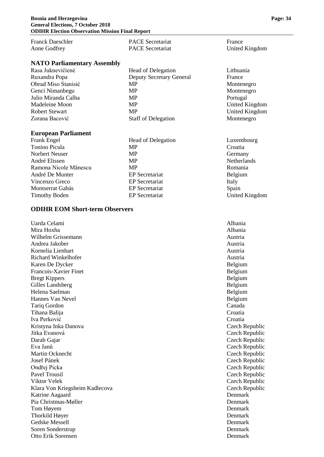| Franck Daeschler | <b>PACE</b> Secretariat | France         |
|------------------|-------------------------|----------------|
| Anne Godfrey     | <b>PACE</b> Secretariat | United Kingdom |

#### **NATO Parliamentary Assembly**

| Rasa Juknevičienė     | Head of Delegation              | Lithuania |
|-----------------------|---------------------------------|-----------|
| Ruxandra Popa         | <b>Deputy Secretary General</b> | France    |
| Obrad Miso Stanisić   | MP.                             | Monteneg  |
| Genci Nimanbegu       | <b>MP</b>                       | Monteneg  |
| Julio Miranda Calha   | <b>MP</b>                       | Portugal  |
| Madeleine Moon        | <b>MP</b>                       | United Ki |
| <b>Robert Stewart</b> | <b>MP</b>                       | United Ki |
| Zorana Bacović        | <b>Staff of Delegation</b>      | Monteneg  |
|                       |                                 |           |

#### **European Parliament**

| <b>Frank Engel</b>    | <b>Head of Delegation</b> | Luxembourg          |
|-----------------------|---------------------------|---------------------|
| Tonino Picula         | <b>MP</b>                 | Croatia             |
| Norbert Neuser        | <b>MP</b>                 | Germany             |
| André Elissen         | <b>MP</b>                 | <b>Netherlands</b>  |
| Ramona Nicole Mănescu | <b>MP</b>                 | Romania             |
| André De Munter       | <b>EP</b> Secretariat     | Belgium             |
| Vincenzo Greco        | <b>EP</b> Secretariat     | Italy               |
| Montserrat Gabás      | <b>EP</b> Secretariat     | Spain               |
| <b>Timothy Boden</b>  | <b>EP</b> Secretariat     | <b>United Kingo</b> |

#### **ODIHR EOM Short-term Observers**

Uarda Celami Albania Mira Hoxha Albania Wilhelm Grissemann **Austria** Austria Andrea Jakober **Austria** Austria and Austria and Austria and Austria and Austria and Austria and Austria and Austria Kornelia Lienhart Austria and Austria Austria and Austria and Austria and Austria and Austria and Austria and Austria Richard Winkelhofer **Austria** Austria **Austria** Austria Karen De Dycker Belgium Francois-Xavier Finet Belgium<br>Bregt Kippers Belgium Bregt Kippers Gilles Landsberg Belgium Helena Saelman Belgium Belgium Belgium Belgium Belgium Belgium Belgium Belgium Belgium Belgium Belgium Belgium Hannes Van Nevel Belgium<br>Tariq Gordon Canada Tariq Gordon Tihana Balija Croatia Iva Perković Croatia Kristyna Inka Danova **Czech Republic** Jitka Evanová Czech Republic Darab Gajar Czech Republic Eva Janů Czech Republic Martin Ocknecht Czech Republic Josef Pánek Czech Republic Ondřej Picka Czech Republic Pavel Trousil Czech Republic Viktor Velek Czech Republic Klara Von Kriegsheim Kadlecova Czech Republic Katrine Aagaard Denmark Pia Christmas-Møller North Christmas-Møller North Christmas-Møller North Christmas Denmark Tom Høyem Denmark Thorkild Høyer Denmark (1999) and the state of the Denmark (1999) and the Denmark (1999) and the Denmark (1999) and the Denmark (1999) and the United States of the United States (1999) and the United States (1999) and the Gedske Messell Denmark and Denmark and Denmark and Denmark and Denmark and Denmark and Denmark and Denmark and Denmark and Denmark and Denmark and Denmark and Denmark and Denmark and Denmark and Denmark and Denmark and Den Soren Sonderstrup Denmark and Denmark and Denmark and Denmark and Denmark and Denmark and Denmark and Denmark and Denmark and Denmark and Denmark and Denmark and Denmark and Denmark and Denmark and Denmark and Denmark and Otto Erik Sorensen Denmark

Montenegro Montenegro **United Kingdom United Kingdom** Montenegro

United Kingdom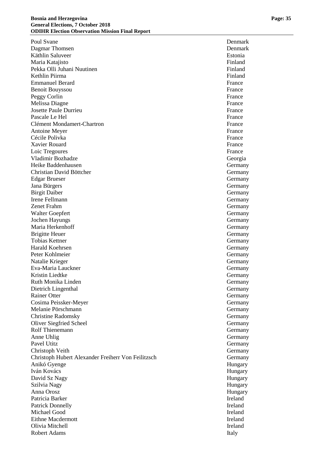Poul Svane Denmark Dagmar Thomsen Denmark and Denmark Denmark and Denmark Denmark Denmark Denmark Denmark Denmark Denmark Denmark Denmark Denmark Denmark Denmark Denmark Denmark Denmark Denmark Denmark Denmark Denmark Denmark Denmark Denmark Käthlin Saluveer Estonia Maria Katajisto Finland Pekka Olli Juhani Nuutinen Finland Kethlin Piirma Finland Emmanuel Berard France Benoit Bouyssou France Peggy Corlin France Melissa Diagne France **France** France **France** France **France Josette Paule Durrieu and America** France France Pascale Le Hel France et al. 2012 12:30 France et al. 2013 12:30 France et al. 2014 12:30 France et al. 2014 1 Clément Mondamert-Chartron **France** Antoine Meyer France Cécile Polivka France Cécile Polivka France Cécile Polivka France Cécile Polivka France Cécile Polivka France Xavier Rouard France Loic Tregoures France Vladimir Bozhadze Georgia Heike Baddenhausen Germany Christian David Böttcher Germany Germany Edgar Brueser Germany Jana Bürgers Germany Birgit Daiber Germany Irene Fellmann Germany Germany Germany Germany Germany Germany Germany Germany Germany Germany Germany Germany Zenet Frahm Germany Walter Goepfert Germany Jochen Hayungs Germany Maria Herkenhoff Germany Brigitte Heuer Germany Tobias Kettner Germany Harald Koehrsen Germany Peter Kohlmeier Germany Natalie Krieger Germany Eva -Maria Lauckner Germany Kristin Liedtke Germany Ruth Monika Linden Germany Dietrich Lingenthal Germany Rainer Otter Germany (Germany Germany Germany Germany Germany Germany Germany Germany Germany Germany Germany Cosima Peissker Melanie Pörschmann Germany Christine Radomsky Germany Oliver Siegfried Scheel Germany Rolf Thienemann Germany Anne Uhlig Germany Pavel Utitz Germany Christoph Veith Germany Christoph Hubert Alexander Freiherr Von Feilitzsch Germany Anikó Gyenge Hungary Iván Kovács Hungary David Sz Nagy Hungary Szilvia Nagy Hungary Anna Orosz Hungary Patricia Barker Ireland Patrick Donnelly Ireland Michael Good **Ireland** Eithne Macdermott **Ireland** Olivia Mitchell **Ireland** Ireland Robert Adams Italy

**Germany**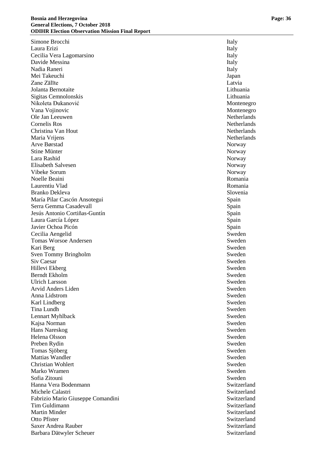Simone Brocchi Italy Laura Erizi **Italy** Cecilia Vera Lagomarsino Italy Davide Messina **Italy** Nadia Raneri **Italy** Mei Takeuchi Japan Zane Zālīte Latvia Jolanta Bernotaite Lithuania Sigitas Cemnolonskis Lithuania Nikoleta Đukanović Montenegro Vana Vojinovic **Montenegro** Montenegro Ole Jan Leeuwen Netherlands Cornelis Ros Netherlands Christina Van Hout Netherlands Netherlands Netherlands Netherlands Netherlands Netherlands Netherlands Netherlands Netherlands Netherlands Netherlands Netherlands Netherlands Netherlands Netherlands Netherlands Netherlands Maria Vrijens **Netherlands** Netherlands Netherlands Arve Børstad Norway Stine Münter Norway Lara Rashid Norway Elisabeth Salvesen Norway Norway Norway Norway Norway Norway Norway Norway Norway Norway Norway Norway Norway Norway Norway Norway Norway Norway Norway Norway Norway Norway Norway Norway Norway Norway Norway Norway Norway Vibeke Sorum Norway Norway Norway Norway Norway Norway Norway Norway Norway Norway Norway Norway Norway Norway Noelle Beaini Romania Laurentiu Vlad Romania Branko Dekleva Slovenia María Pilar Cascón Ansotegui **Spain Spain** Spain Serra Gemma Casadevall Spain Spain Jesús Antonio Cortiñas -Guntín Spain Laura García López **Spain** Javier Ochoa Picón (1999) - Spain (1999) - Spain (1999) - Spain (1999) - Spain (1999) - Spain (1999) - Sweden<br>Cecilia Aengelid Cecilia Aengelid Tomas Worsoe Andersen Sweden Sweden Sweden Sweden Sweden Sweden Sweden Sweden Sweden Sweden Sweden Sweden Sweden Sweden Sweden Sweden Sweden Sweden Sweden Sweden Sweden Sweden Sweden Sweden Sweden Sweden Sweden Sweden Swed Kari Berg Sweden Nasar Sweden Sweden Nasar Sweden Sweden Sweden Nasar Sweden Sweden Nasar Sweden Sweden Nasar Sweden Sven Tommy Bringholm Sweden Sweden Sweden Sweden Sweden Sweden Sweden Sweden Sweden Sweden Sweden Sweden Sweden Sweden Sweden Sweden Sweden Sweden Sweden Sweden Sweden Sweden Sweden Sweden Sweden Sweden Sweden Sweden Swede Siv Caesar Sweden Hillevi Ekberg Sweden Berndt Ekholm Sweden Ulrich Larsson<br>Arvid Anders Liden<br>Sweden<br>Sweden Arvid Anders Liden Anna Lidstrom Sweden Karl Lindberg Sweden Tina Lundh Sweden Lennart Myhlback Sweden Kajsa Norman Sweden Hans Nareskog Sweden Helena Olsson Sweden<br>Preben Rydin Sweden<br>Sweden Preben Rydin Tomas Sjöberg Sweden Sweden Sweden Sweden Sweden Sweden Sweden Sweden Sweden Sweden Sweden Sweden Sweden Sweden Mattias Wandler Sweden Christian Wohlert Sweden Marko Wramen Sweden Sweden Sweden Sweden Sweden Sweden Sweden Sweden Sweden Sweden Sweden Sweden Sweden Sweden Sofia Zitouni Sweden Hanna Vera Bodenmann Switzerland Switzerland Michele Calastri Switzerland Fabrizio Mario Giuseppe Comandini Switzerland Switzerland Tim Guldimann Switzerland Martin Minder Switzerland Otto Pfister Switzerland Saxer Andrea Rauber Switzerland Switzerland Barbara Dätwyler Scheuer Switzerland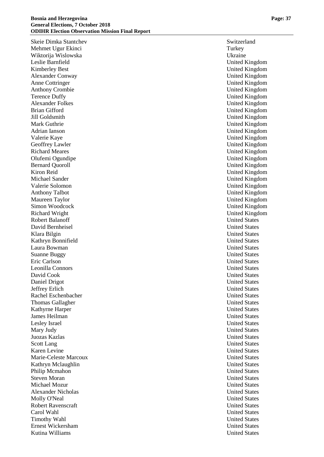Skeie Dimka Stantchev Switzerland Switzerland Switzerland Switzerland Switzerland Switzerland Switzerland Switzerland Switzerland Switzerland Switzerland Switzerland Switzerland Switzerland Switzerland Switzerland Switzerl Mehmet Ugur Ekinci Turkey Wiktorija Wislowska Ukraine Leslie Barnfield United Kingdom Kimberley Best United Kingdom Alexander Conway United Kingdom Anne Cottringer United Kingdom United Kingdom Anthony Crombie United Kingdom Terence Duffy United Kingdom Alexander Folkes United Kingdom Brian Gifford **United Kingdom** United Kingdom Jill Goldsmith United Kingdom Mark Guthrie United Kingdom Adrian Ianson Valerie Kaye United Kingdom Geoffrey Lawler United Kingdom Richard Meares United Kingdom Olufemi Ogundipe United Kingdom Bernard Quoroll and Duble Controll United Kingdom United Kingdom Kiron Reid United Kingdom Michael Sander United Kingdom Valerie Solomon United Kingdom Anthony Talbot United Kingdom Maureen Taylor United Kingdom Simon Woodcock United Kingdom Richard Wright United Kingdom Robert Balanoff United States David Bernheisel United States Klara Bilgin United States Kathryn Bonnifield United States Laura Bowman United States Suanne Buggy United States Eric Carlson United States Leonilla Connors United States David Cook United States Daniel Drigot United States Jeffrey Erlich Rachel Eschenbacher United States **Thomas Gallagher Community Community** Community Community Community Community Community Community Community Community Community Community Community Community Community Community Community Community Community Community Com Kathyrne Harper United States James Heilman United States Lesley Israel United States Mary Judy United States Juozas Kazlas United States Karen Levine United States Marie -Celeste Marcoux United States Kathryn Mclaughlin United States Philip Mcmahon United States Steven Moran United States Michael Mozur United States Alexander Nicholas United States Molly O'Neal United States Robert Ravenscraft United States Carol Wahl United States Timothy Wahl United States Ernest Wickersham United States Kutina Williams United States

United Kingdom **United States**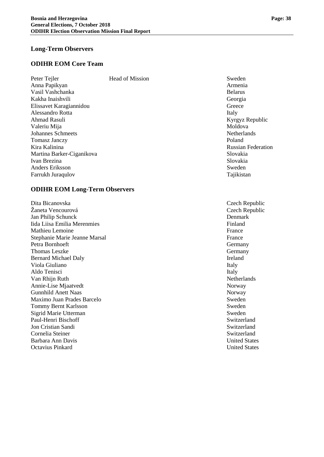#### **Long-Term Observers**

## **ODIHR EOM Core Team**

| Peter Tejler              | <b>Head of Mission</b> | Sweden         |
|---------------------------|------------------------|----------------|
| Anna Papikyan             |                        | Armenia        |
| Vasil Vashchanka          |                        | <b>Belarus</b> |
| Kakha Inaishvili          |                        | Georgia        |
| Elissavet Karagiannidou   |                        | Greece         |
| Alessandro Rotta          |                        | Italy          |
| Ahmad Rasuli              |                        | Kyrgyz F       |
| Valeriu Mija              |                        | Moldova        |
| <b>Johannes Schmeets</b>  |                        | Netherla       |
| <b>Tomasz Janczy</b>      |                        | Poland         |
| Kira Kalinina             |                        | Russian 1      |
| Martina Barker-Ciganikova |                        | Slovakia       |
| Ivan Brezina              |                        | Slovakia       |
| Anders Eriksson           |                        | Sweden         |
| Farrukh Juraqulov         |                        | Tajikista      |

#### **ODIHR EOM Long-Term Observers**

Dita Bicanovska Czech Republic Žaneta Vencourová<br>
Jan Philip Schunck<br>
Denmark<br>
Denmark Jan Philip Schunck Iida Liisa Emilia Merenmies **Finland Finland** Mathieu Lemoine France Stephanie Marie Jeanne Marsal France France France France France France France France France France France France France France France France France France France France France France France France France France France Fra Petra Bornhoeft Germany Thomas Leszke Germany Bernard Michael Daly Ireland Viola Giuliano Italy et al. (1996) and the set of the set of the set of the set of the set of the set of the set of the set of the set of the set of the set of the set of the set of the set of the set of the set of the set Aldo Tenisci Italy Van Rhijn Ruth Netherlands Annie-Lise Mjaatvedt Norway Gunnhild Anett Naas Norway Maximo Juan Prades Barcelo Sweden<br>
Tommy Bernt Karlsson<br>
Sweden Tommy Bernt Karlsson Sigrid Marie Utterman Sweden Paul-Henri Bischoff Switzerland Jon Cristian Sandi Switzerland Cornelia Steiner Switzerland Barbara Ann Davis United States Octavius Pinkard United States

Kyrgyz Republic Netherlands<br>Poland **Russian Federation** Tajikistan